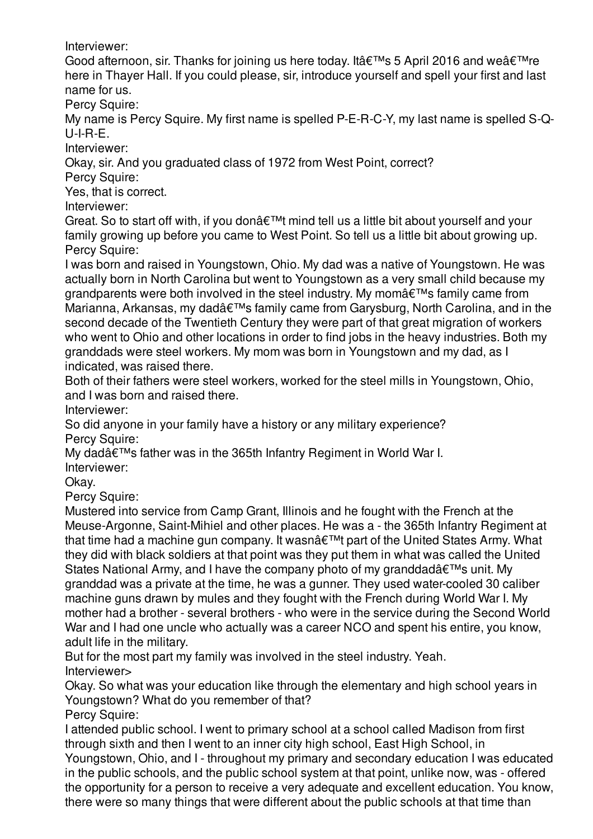Interviewer:

Good afternoon, sir. Thanks for joining us here today. It's 5 April 2016 and we're here in Thayer Hall. If you could please, sir, introduce yourself and spell your first and last name for us.

Percy Squire:

My name is Percy Squire. My first name is spelled P-E-R-C-Y, my last name is spelled S-Q-U-I-R-E.

Interviewer:

Okay, sir. And you graduated class of 1972 from West Point, correct?

Percy Squire:

Yes, that is correct.

Interviewer:

Great. So to start off with, if you don $\hat{\mathbf{a}} \in \mathbb{M}$ t mind tell us a little bit about yourself and your family growing up before you came to West Point. So tell us a little bit about growing up. Percy Squire:

I was born and raised in Youngstown, Ohio. My dad was a native of Youngstown. He was actually born in North Carolina but went to Youngstown as a very small child because my grandparents were both involved in the steel industry. My mom $\hat{\mathbf{a}} \in \mathbb{R}^N$ s family came from Marianna, Arkansas, my dad's family came from Garysburg, North Carolina, and in the second decade of the Twentieth Century they were part of that great migration of workers who went to Ohio and other locations in order to find jobs in the heavy industries. Both my granddads were steel workers. My mom was born in Youngstown and my dad, as I indicated, was raised there.

Both of their fathers were steel workers, worked for the steel mills in Youngstown, Ohio, and I was born and raised there.

Interviewer:

So did anyone in your family have a history or any military experience? Percy Squire:

My dad's father was in the 365th Infantry Regiment in World War I.

Interviewer:

Okay.

Percy Squire:

Mustered into service from Camp Grant, Illinois and he fought with the French at the Meuse-Argonne, Saint-Mihiel and other places. He was a - the 365th Infantry Regiment at that time had a machine gun company. It wasn $\hat{a} \in \mathbb{M}$  part of the United States Army. What they did with black soldiers at that point was they put them in what was called the United States National Army, and I have the company photo of my granddad's unit. My granddad was a private at the time, he was a gunner. They used water-cooled 30 caliber machine guns drawn by mules and they fought with the French during World War I. My mother had a brother - several brothers - who were in the service during the Second World War and I had one uncle who actually was a career NCO and spent his entire, you know, adult life in the military.

But for the most part my family was involved in the steel industry. Yeah. Interviewer>

Okay. So what was your education like through the elementary and high school years in Youngstown? What do you remember of that?

Percy Squire:

I attended public school. I went to primary school at a school called Madison from first through sixth and then I went to an inner city high school, East High School, in Youngstown, Ohio, and I - throughout my primary and secondary education I was educated in the public schools, and the public school system at that point, unlike now, was - offered the opportunity for a person to receive a very adequate and excellent education. You know, there were so many things that were different about the public schools at that time than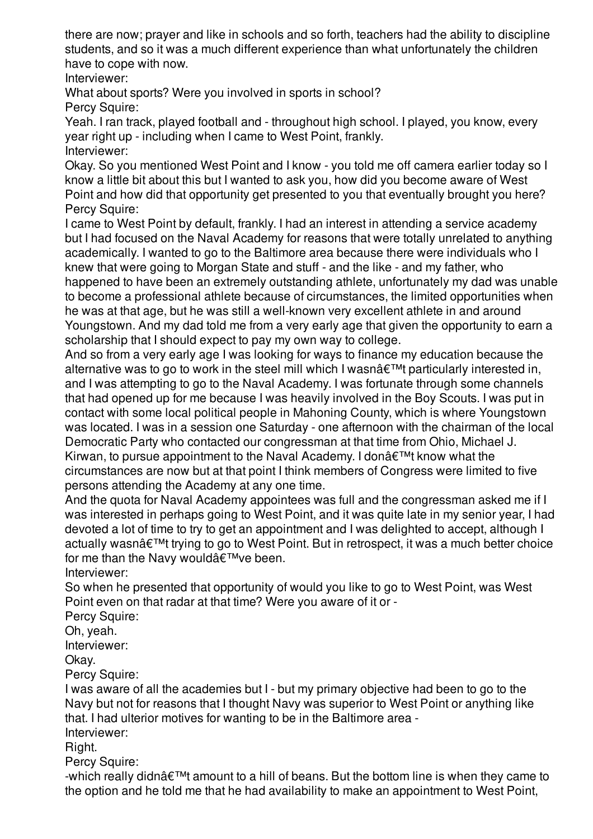there are now; prayer and like in schools and so forth, teachers had the ability to discipline students, and so it was a much different experience than what unfortunately the children have to cope with now.

Interviewer:

What about sports? Were you involved in sports in school? Percy Squire:

Yeah. I ran track, played football and - throughout high school. I played, you know, every year right up - including when I came to West Point, frankly. Interviewer:

Okay. So you mentioned West Point and I know - you told me off camera earlier today so I know a little bit about this but I wanted to ask you, how did you become aware of West Point and how did that opportunity get presented to you that eventually brought you here? Percy Squire:

I came to West Point by default, frankly. I had an interest in attending a service academy but I had focused on the Naval Academy for reasons that were totally unrelated to anything academically. I wanted to go to the Baltimore area because there were individuals who I knew that were going to Morgan State and stuff - and the like - and my father, who happened to have been an extremely outstanding athlete, unfortunately my dad was unable to become a professional athlete because of circumstances, the limited opportunities when he was at that age, but he was still a well-known very excellent athlete in and around Youngstown. And my dad told me from a very early age that given the opportunity to earn a scholarship that I should expect to pay my own way to college.

And so from a very early age I was looking for ways to finance my education because the alternative was to go to work in the steel mill which I wasn $\hat{a} \in \mathbb{M}$  particularly interested in, and I was attempting to go to the Naval Academy. I was fortunate through some channels that had opened up for me because I was heavily involved in the Boy Scouts. I was put in contact with some local political people in Mahoning County, which is where Youngstown was located. I was in a session one Saturday - one afternoon with the chairman of the local Democratic Party who contacted our congressman at that time from Ohio, Michael J. Kirwan, to pursue appointment to the Naval Academy. I don $\hat{\alpha} \in T^M$ t know what the circumstances are now but at that point I think members of Congress were limited to five persons attending the Academy at any one time.

And the quota for Naval Academy appointees was full and the congressman asked me if I was interested in perhaps going to West Point, and it was quite late in my senior year, I had devoted a lot of time to try to get an appointment and I was delighted to accept, although I actually wasn't trying to go to West Point. But in retrospect, it was a much better choice for me than the Navy would $\hat{a} \in \mathbb{M}$  ve been.

Interviewer:

So when he presented that opportunity of would you like to go to West Point, was West Point even on that radar at that time? Were you aware of it or -

Percy Squire:

Oh, yeah.

Interviewer:

Okay.

Percy Squire:

I was aware of all the academies but I - but my primary objective had been to go to the Navy but not for reasons that I thought Navy was superior to West Point or anything like that. I had ulterior motives for wanting to be in the Baltimore area - Interviewer:

Right.

Percy Squire:

-which really didn $\hat{\alpha} \in \mathbb{M}$  amount to a hill of beans. But the bottom line is when they came to the option and he told me that he had availability to make an appointment to West Point,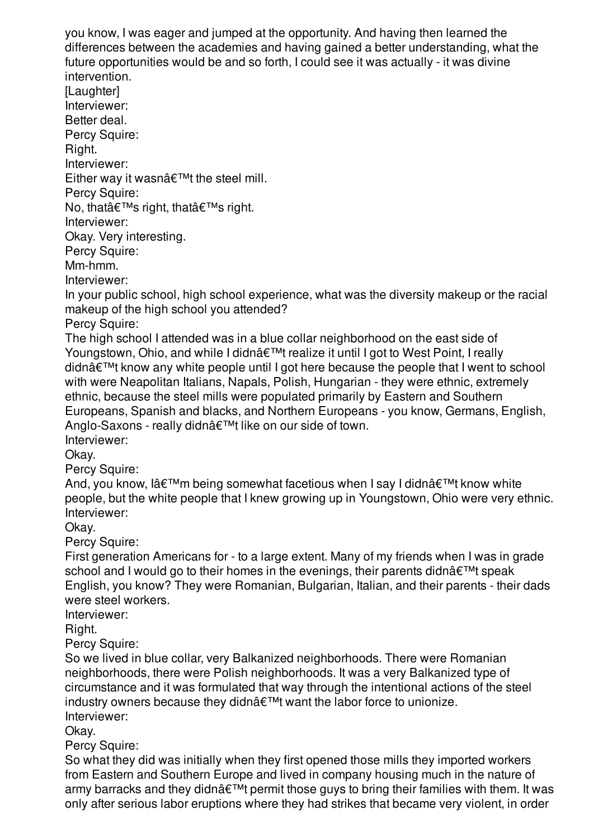you know, I was eager and jumped at the opportunity. And having then learned the differences between the academies and having gained a better understanding, what the future opportunities would be and so forth, I could see it was actually - it was divine intervention. [Laughter]

Percy Squire: Right. Interviewer: Either way it wasn $\hat{\mathbf{a}} \in \mathbb{M}$ t the steel mill. Percy Squire: No, that $\hat{a} \in \mathbb{M}$ s right, that $\hat{a} \in \mathbb{M}$ s right. Interviewer: Okay. Very interesting. Percy Squire: Mm-hmm. Interviewer: In your public school, high school experience, what was the diversity makeup or the racial makeup of the high school you attended? Percy Squire: The high school I attended was in a blue collar neighborhood on the east side of Youngstown, Ohio, and while I didn't realize it until I got to West Point, I really  $\mathsf{d}$ idn $\hat{\mathsf{d}} \in \mathbb{N}$  know any white people until I got here because the people that I went to school with were Neapolitan Italians, Napals, Polish, Hungarian - they were ethnic, extremely ethnic, because the steel mills were populated primarily by Eastern and Southern Europeans, Spanish and blacks, and Northern Europeans - you know, Germans, English, Anglo-Saxons - really didn't like on our side of town. Interviewer: Okay. Percy Squire:

And, you know,  $I\hat{a} \in T^M$ m being somewhat facetious when I say I didn $\hat{a} \in T^M$ t know white people, but the white people that I knew growing up in Youngstown, Ohio were very ethnic. Interviewer:

Okay.

Percy Squire:

Interviewer: Better deal.

First generation Americans for - to a large extent. Many of my friends when I was in grade school and I would go to their homes in the evenings, their parents didn $\hat{a} \in \text{TM}$  speak English, you know? They were Romanian, Bulgarian, Italian, and their parents - their dads were steel workers.

Interviewer:

Right.

Percy Squire:

So we lived in blue collar, very Balkanized neighborhoods. There were Romanian neighborhoods, there were Polish neighborhoods. It was a very Balkanized type of circumstance and it was formulated that way through the intentional actions of the steel industry owners because they didn't want the labor force to unionize. Interviewer:

Okay.

Percy Squire:

So what they did was initially when they first opened those mills they imported workers from Eastern and Southern Europe and lived in company housing much in the nature of army barracks and they didn $\hat{\mathbf{a}} \in \mathbb{M}$  permit those guys to bring their families with them. It was only after serious labor eruptions where they had strikes that became very violent, in order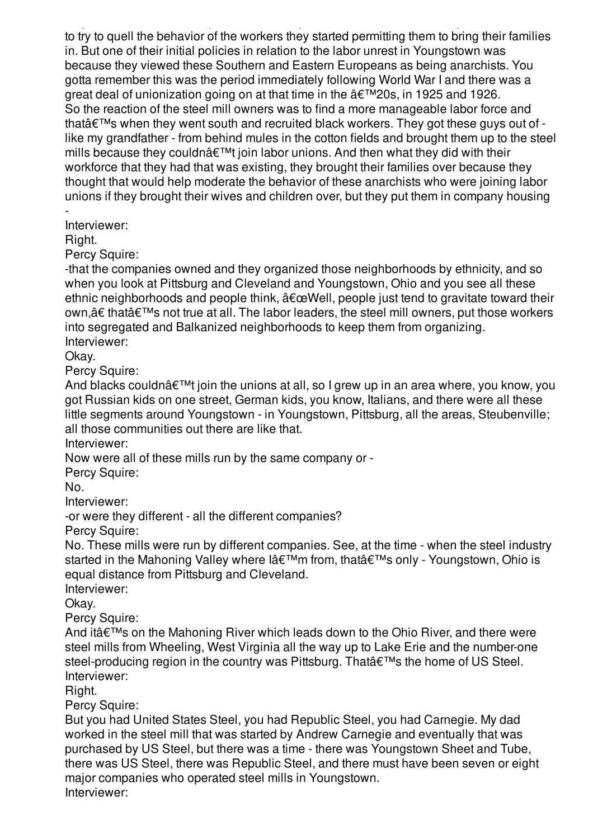only after serious labor eruptions where they had strikes that became very violent, in order to try to quell the behavior of the workers they started permitting them to bring their families in. But one of their initial policies in relation to the labor unrest in Youngstown was because they viewed these Southern and Eastern Europeans as being anarchists. You gotta remember this was the period immediately following World War I and there was a great deal of unionization going on at that time in the  $\hat{a} \in \mathbb{M}$  20s, in 1925 and 1926. So the reaction of the steel mill owners was to find a more manageable labor force and that  $\hat{\mathbf{a}} \in \mathbb{R}^{m}$  when they went south and recruited black workers. They got these guys out of like my grandfather - from behind mules in the cotton fields and brought them up to the steel mills because they couldn $\hat{\mathbf{a}} \in \mathbb{M}$  join labor unions. And then what they did with their workforce that they had that was existing, they brought their families over because they thought that would help moderate the behavior of these anarchists who were joining labor unions if they brought their wives and children over, but they put them in company housing

- Interviewer:

Right.

Percy Squire:

-that the companies owned and they organized those neighborhoods by ethnicity, and so when you look at Pittsburg and Cleveland and Youngstown, Ohio and you see all these ethnic neighborhoods and people think,  $\hat{a} \in \mathbb{C}$ Well, people just tend to gravitate toward their own,†that's not true at all. The labor leaders, the steel mill owners, put those workers into segregated and Balkanized neighborhoods to keep them from organizing. Interviewer:

Okay.

Percy Squire:

And blacks couldn $\hat{\mathbf{a}} \in \mathbb{M}$  join the unions at all, so I grew up in an area where, you know, you got Russian kids on one street, German kids, you know, Italians, and there were all these little segments around Youngstown - in Youngstown, Pittsburg, all the areas, Steubenville; all those communities out there are like that.

Interviewer:

Now were all of these mills run by the same company or -

Percy Squire:

No.

Interviewer:

-or were they different - all the different companies?

Percy Squire:

No. These mills were run by different companies. See, at the time - when the steel industry started in the Mahoning Valley where l'm from, that's only - Youngstown, Ohio is equal distance from Pittsburg and Cleveland.

Interviewer:

Okay.

Percy Squire:

And it  $\hat{\mathbf{a}} \in \mathbb{M}$  on the Mahoning River which leads down to the Ohio River, and there were steel mills from Wheeling, West Virginia all the way up to Lake Erie and the number-one steel-producing region in the country was Pittsburg. That's the home of US Steel. Interviewer:

Right.

Percy Squire:

But you had United States Steel, you had Republic Steel, you had Carnegie. My dad worked in the steel mill that was started by Andrew Carnegie and eventually that was purchased by US Steel, but there was a time - there was Youngstown Sheet and Tube, there was US Steel, there was Republic Steel, and there must have been seven or eight major companies who operated steel mills in Youngstown. Interviewer: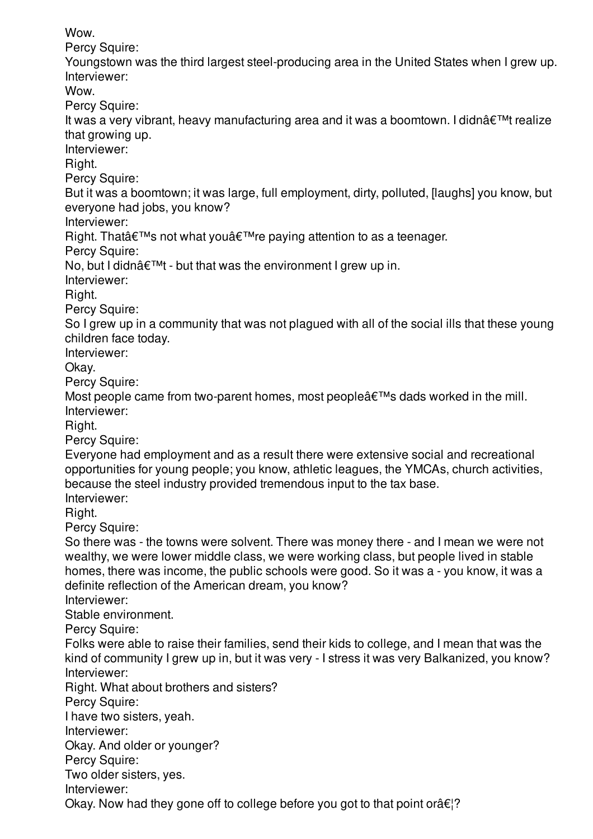Wow.

Percy Squire:

Youngstown was the third largest steel-producing area in the United States when I grew up. Interviewer:

Wow.

Percy Squire:

It was a very vibrant, heavy manufacturing area and it was a boomtown. I didnâ $\epsilon^{\text{TM}}$ t realize that growing up.

Interviewer:

Right.

Percy Squire:

But it was a boomtown; it was large, full employment, dirty, polluted, [laughs] you know, but everyone had jobs, you know?

Interviewer:

Right. That  $\hat{\theta} \in \mathbb{M}$  not what you  $\hat{\theta} \in \mathbb{M}$  re paying attention to as a teenager.

Percy Squire:

No, but I didn $\hat{\mathbf{a}} \in \mathbb{M}$  - but that was the environment I grew up in.

Interviewer:

Right.

Percy Squire:

So I grew up in a community that was not plagued with all of the social ills that these young children face today.

Interviewer:

Okay.

Percy Squire:

Most people came from two-parent homes, most people $\hat{\alpha} \in \mathbb{M}$ s dads worked in the mill. Interviewer:

Right.

Percy Squire:

Everyone had employment and as a result there were extensive social and recreational opportunities for young people; you know, athletic leagues, the YMCAs, church activities, because the steel industry provided tremendous input to the tax base.

Interviewer:

Right.

Percy Squire:

So there was - the towns were solvent. There was money there - and I mean we were not wealthy, we were lower middle class, we were working class, but people lived in stable homes, there was income, the public schools were good. So it was a - you know, it was a definite reflection of the American dream, you know?

Interviewer:

Stable environment.

Percy Squire:

Folks were able to raise their families, send their kids to college, and I mean that was the kind of community I grew up in, but it was very - I stress it was very Balkanized, you know? Interviewer:

Right. What about brothers and sisters?

Percy Squire:

I have two sisters, yeah.

Interviewer:

Okay. And older or younger?

Percy Squire:

Two older sisters, yes.

Interviewer:

Okay. Now had they gone off to college before you got to that point or  $\hat{\epsilon}$ ?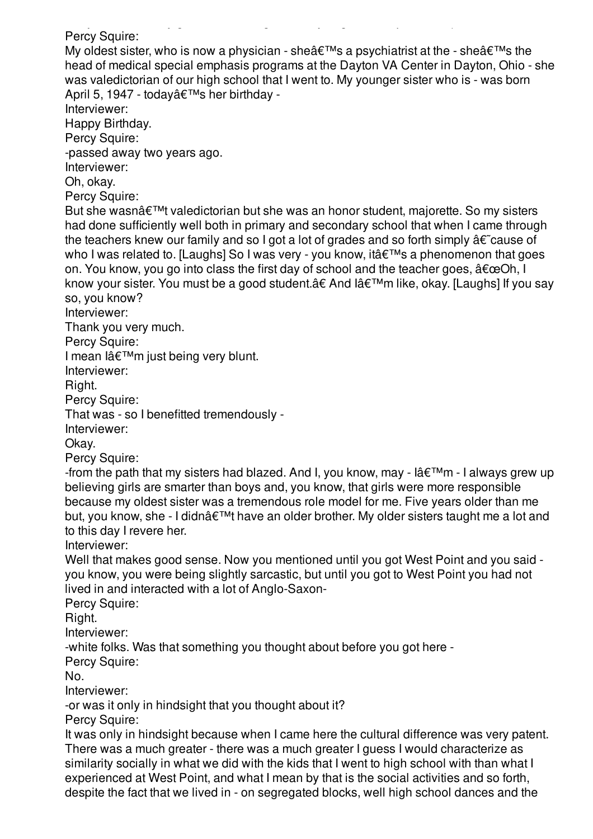Okay. Now had they gone off to college before you got to that point or…? Percy Squire: My oldest sister, who is now a physician - she $\hat{\mathbf{a}} \in \mathbb{R}^T$  a psychiatrist at the - she $\hat{\mathbf{a}} \in \mathbb{R}^T$  the head of medical special emphasis programs at the Dayton VA Center in Dayton, Ohio - she was valedictorian of our high school that I went to. My younger sister who is - was born April 5, 1947 - today's her birthday -Interviewer: Happy Birthday. Percy Squire: -passed away two years ago. Interviewer: Oh, okay. Percy Squire: But she wasn't valedictorian but she was an honor student, majorette. So my sisters had done sufficiently well both in primary and secondary school that when I came through the teachers knew our family and so I got a lot of grades and so forth simply  $\hat{a}\hat{\epsilon}$  cause of who I was related to. [Laughs] So I was very - you know, it  $\hat{a} \in \mathbb{M}$ s a phenomenon that goes on. You know, you go into class the first day of school and the teacher goes,  $\hat{a}\epsilon \in Oh$ , I know your sister. You must be a good student. $\hat{a} \in A$ nd lâ $\in I^M$ m like, okay. [Laughs] If you say so, you know? Interviewer: Thank you very much. Percy Squire: I mean l'm just being very blunt. Interviewer: Right. Percy Squire: That was - so I benefitted tremendously - Interviewer: Okay. Percy Squire: -from the path that my sisters had blazed. And I, you know, may -  $\hat{a} \in \mathbb{M}$ m - I always grew up believing girls are smarter than boys and, you know, that girls were more responsible because my oldest sister was a tremendous role model for me. Five years older than me but, you know, she - I didn't have an older brother. My older sisters taught me a lot and to this day I revere her. Interviewer: Well that makes good sense. Now you mentioned until you got West Point and you said you know, you were being slightly sarcastic, but until you got to West Point you had not lived in and interacted with a lot of Anglo-Saxon-Percy Squire: Right. Interviewer: -white folks. Was that something you thought about before you got here - Percy Squire: No. Interviewer: -or was it only in hindsight that you thought about it?

Percy Squire:

It was only in hindsight because when I came here the cultural difference was very patent. There was a much greater - there was a much greater I guess I would characterize as similarity socially in what we did with the kids that I went to high school with than what I experienced at West Point, and what I mean by that is the social activities and so forth, despite the fact that we lived in - on segregated blocks, well high school dances and the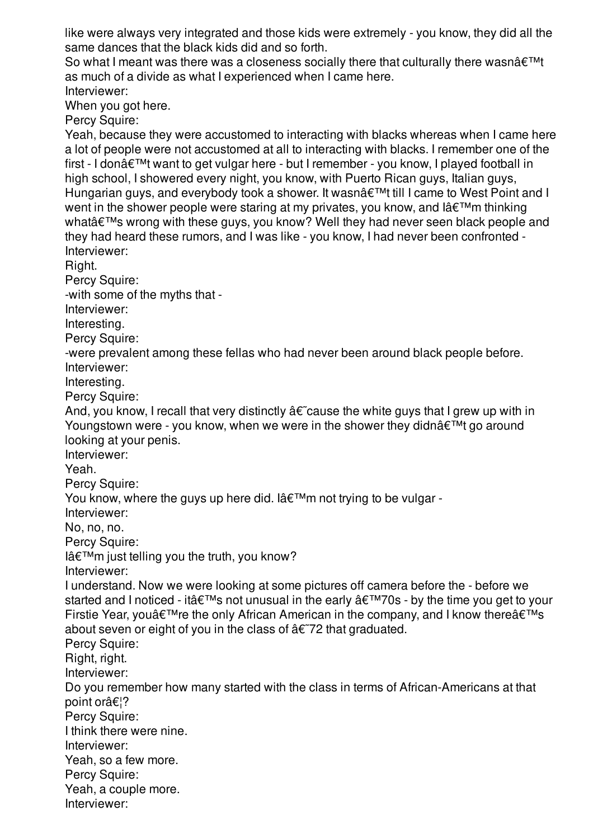like were always very integrated and those kids were extremely - you know, they did all the same dances that the black kids did and so forth.

So what I meant was there was a closeness socially there that culturally there wasn $\hat{a} \in TM$ as much of a divide as what I experienced when I came here. Interviewer:

When you got here.

Percy Squire:

Yeah, because they were accustomed to interacting with blacks whereas when I came here a lot of people were not accustomed at all to interacting with blacks. I remember one of the first - I don $\hat{\mathbf{a}} \in \mathbb{M}$ t want to get vulgar here - but I remember - you know, I played football in high school, I showered every night, you know, with Puerto Rican guys, Italian guys, Hungarian guys, and everybody took a shower. It wasn't till I came to West Point and I went in the shower people were staring at my privates, you know, and lâ $\epsilon^{TM}$ m thinking what $\hat{\mathbf{a}} \in \mathbb{M}$ s wrong with these guys, you know? Well they had never seen black people and they had heard these rumors, and I was like - you know, I had never been confronted - Interviewer:

Right.

Percy Squire:

-with some of the myths that -

Interviewer:

Interesting.

Percy Squire:

-were prevalent among these fellas who had never been around black people before.

Interviewer:

Interesting.

Percy Squire:

And, you know, I recall that very distinctly  $\hat{a}\hat{\epsilon}$  cause the white guys that I grew up with in Youngstown were - you know, when we were in the shower they didn $\hat{\mathbf{a}} \in \mathbb{M}$ t go around looking at your penis.

Interviewer:

Yeah.

Percy Squire:

You know, where the guys up here did.  $\hat{a} \in \mathbb{M}$ m not trying to be vulgar -

Interviewer:

No, no, no.

Percy Squire:

 $I\hat{a} \in \text{TM}$ m just telling you the truth, you know?

Interviewer:

I understand. Now we were looking at some pictures off camera before the - before we started and I noticed - it  $\hat{\mathbf{a}} \in \mathbb{M}$  not unusual in the early  $\hat{\mathbf{a}} \in \mathbb{M}$  70s - by the time you get to your Firstie Year, you $\hat{\mathbf{a}} \in \mathbb{R}^m$  re the only African American in the company, and I know there  $\hat{\mathbf{a}} \in \mathbb{R}^m$ about seven or eight of you in the class of  $a \in 72$  that graduated.

Percy Squire:

Right, right.

Interviewer:

Do you remember how many started with the class in terms of African-Americans at that point or…?

Percy Squire:

I think there were nine.

Interviewer:

Yeah, so a few more.

Percy Squire:

Yeah, a couple more.

Interviewer: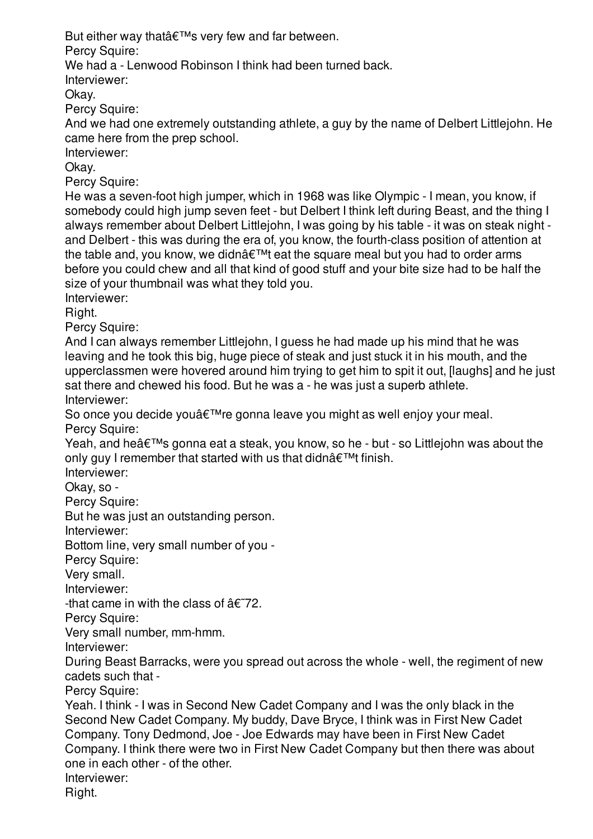But either way that  $\hat{\theta} \in T^M$ s very few and far between.

Percy Squire:

We had a - Lenwood Robinson I think had been turned back.

Interviewer:

Okay.

Percy Squire:

And we had one extremely outstanding athlete, a guy by the name of Delbert Littlejohn. He came here from the prep school.

Interviewer:

Okay.

Percy Squire:

He was a seven-foot high jumper, which in 1968 was like Olympic - I mean, you know, if somebody could high jump seven feet - but Delbert I think left during Beast, and the thing I always remember about Delbert Littlejohn, I was going by his table - it was on steak night and Delbert - this was during the era of, you know, the fourth-class position of attention at the table and, you know, we didn $\hat{a} \in \mathbb{M}$  eat the square meal but you had to order arms before you could chew and all that kind of good stuff and your bite size had to be half the size of your thumbnail was what they told you.

Interviewer:

Right.

Percy Squire:

And I can always remember Littlejohn, I guess he had made up his mind that he was leaving and he took this big, huge piece of steak and just stuck it in his mouth, and the upperclassmen were hovered around him trying to get him to spit it out, [laughs] and he just sat there and chewed his food. But he was a - he was just a superb athlete. Interviewer:

So once you decide you're gonna leave you might as well enjoy your meal. Percy Squire:

Yeah, and he $\hat{a} \in \mathbb{M}$ s gonna eat a steak, you know, so he - but - so Littlejohn was about the only guy I remember that started with us that didn $\hat{a} \in \text{TM}$  finish.

Interviewer:

Okay, so -

Percy Squire:

But he was just an outstanding person.

Interviewer:

Bottom line, very small number of you -

Percy Squire:

Very small.

Interviewer:

-that came in with the class of  $\hat{a}\hat{\epsilon}$  72.

Percy Squire:

Very small number, mm-hmm.

Interviewer:

During Beast Barracks, were you spread out across the whole - well, the regiment of new cadets such that -

Percy Squire:

Yeah. I think - I was in Second New Cadet Company and I was the only black in the Second New Cadet Company. My buddy, Dave Bryce, I think was in First New Cadet Company. Tony Dedmond, Joe - Joe Edwards may have been in First New Cadet Company. I think there were two in First New Cadet Company but then there was about one in each other - of the other. Interviewer:

Right.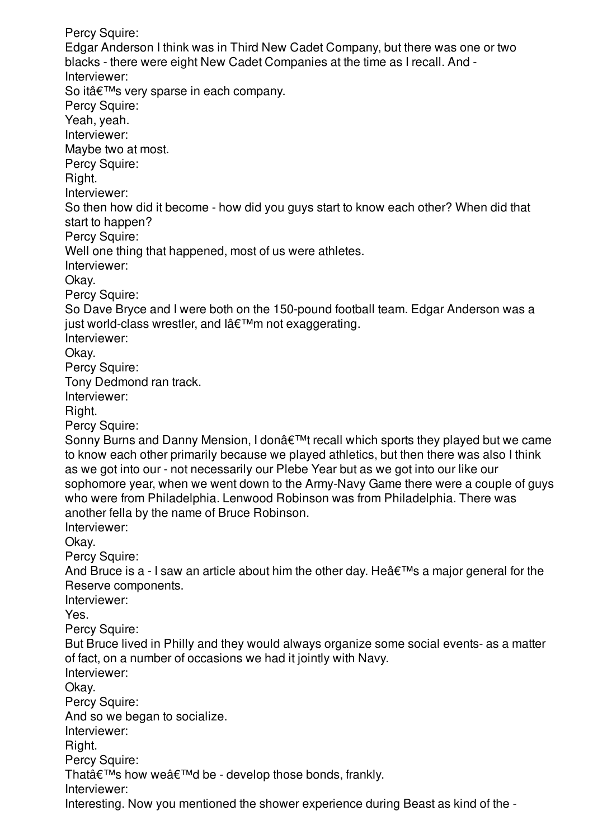Percy Squire: Edgar Anderson I think was in Third New Cadet Company, but there was one or two blacks - there were eight New Cadet Companies at the time as I recall. And - Interviewer: So it's very sparse in each company. Percy Squire: Yeah, yeah. Interviewer: Maybe two at most. Percy Squire: Right. Interviewer: So then how did it become - how did you guys start to know each other? When did that start to happen? Percy Squire: Well one thing that happened, most of us were athletes. Interviewer: Okay. Percy Squire: So Dave Bryce and I were both on the 150-pound football team. Edgar Anderson was a just world-class wrestler, and  $l$ a $\epsilon$ <sup>TM</sup>m not exaggerating. Interviewer: Okay. Percy Squire: Tony Dedmond ran track. Interviewer: Right. Percy Squire: Sonny Burns and Danny Mension, I don't recall which sports they played but we came to know each other primarily because we played athletics, but then there was also I think as we got into our - not necessarily our Plebe Year but as we got into our like our sophomore year, when we went down to the Army-Navy Game there were a couple of guys who were from Philadelphia. Lenwood Robinson was from Philadelphia. There was another fella by the name of Bruce Robinson. Interviewer: Okay. Percy Squire: And Bruce is a - I saw an article about him the other day. He  $\hat{\theta} \in \mathbb{R}^{T \times S}$  a major general for the Reserve components. Interviewer: Yes. Percy Squire: But Bruce lived in Philly and they would always organize some social events- as a matter of fact, on a number of occasions we had it jointly with Navy. Interviewer: Okay. Percy Squire: And so we began to socialize. Interviewer: Right. Percy Squire: That $\hat{a} \in \mathbb{M}$ s how we $\hat{a} \in \mathbb{M}$ d be - develop those bonds, frankly. Interviewer: Interesting. Now you mentioned the shower experience during Beast as kind of the -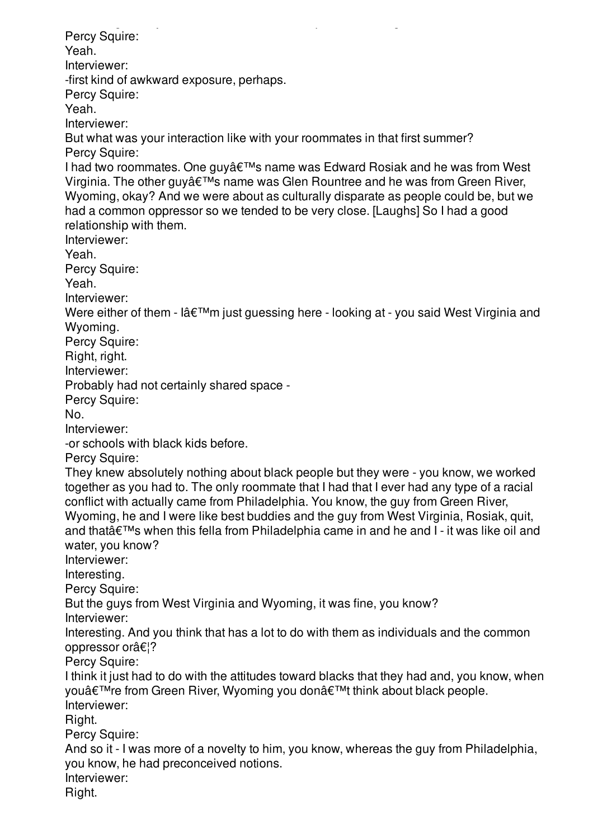Interesting. Now you mentioned the shower experience during Beast as kind of the - Percy Squire: Yeah. Interviewer: -first kind of awkward exposure, perhaps. Percy Squire: Yeah. Interviewer: But what was your interaction like with your roommates in that first summer? Percy Squire: I had two roommates. One guy's name was Edward Rosiak and he was from West Virginia. The other guy's name was Glen Rountree and he was from Green River, Wyoming, okay? And we were about as culturally disparate as people could be, but we had a common oppressor so we tended to be very close. [Laughs] So I had a good relationship with them. Interviewer: Yeah. Percy Squire: Yeah. Interviewer: Were either of them -  $I \hat{a} \in T^M$ m just guessing here - looking at - you said West Virginia and Wyoming. Percy Squire: Right, right. Interviewer: Probably had not certainly shared space - Percy Squire: No. Interviewer: -or schools with black kids before. Percy Squire: They knew absolutely nothing about black people but they were - you know, we worked together as you had to. The only roommate that I had that I ever had any type of a racial conflict with actually came from Philadelphia. You know, the guy from Green River, Wyoming, he and I were like best buddies and the guy from West Virginia, Rosiak, quit, and that $\hat{a} \in \mathbb{M}$ s when this fella from Philadelphia came in and he and I - it was like oil and water, you know? Interviewer: Interesting. Percy Squire: But the guys from West Virginia and Wyoming, it was fine, you know? Interviewer: Interesting. And you think that has a lot to do with them as individuals and the common oppressor or $\hat{\mathsf{a}} \in \{?$ Percy Squire: I think it just had to do with the attitudes toward blacks that they had and, you know, when you're from Green River, Wyoming you don't think about black people. Interviewer: Right. Percy Squire: And so it - I was more of a novelty to him, you know, whereas the guy from Philadelphia, you know, he had preconceived notions. Interviewer: Right.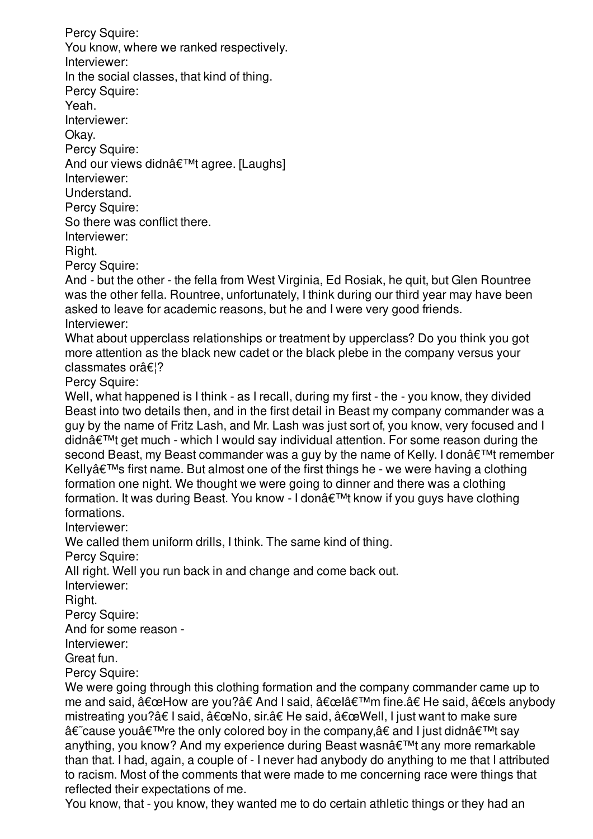Percy Squire: You know, where we ranked respectively. Interviewer: In the social classes, that kind of thing. Percy Squire: Yeah. Interviewer: Okay. Percy Squire: And our views didn't agree. [Laughs] Interviewer: Understand. Percy Squire: So there was conflict there. Interviewer: Right. Percy Squire: And - but the other - the fella from West Virginia, Ed Rosiak, he quit, but Glen Rountree was the other fella. Rountree, unfortunately, I think during our third year may have been asked to leave for academic reasons, but he and I were very good friends. Interviewer: What about upperclass relationships or treatment by upperclass? Do you think you got more attention as the black new cadet or the black plebe in the company versus your classmates or $\hat{\mathsf{a}} \in \mathsf{?}$ Percy Squire: Well, what happened is I think - as I recall, during my first - the - you know, they divided Beast into two details then, and in the first detail in Beast my company commander was a guy by the name of Fritz Lash, and Mr. Lash was just sort of, you know, very focused and I didnâ€<sup>™</sup>t get much - which I would say individual attention. For some reason during the second Beast, my Beast commander was a guy by the name of Kelly. I donâ€<sup>™</sup>t remember Kelly $\hat{\mathbf{a}} \in \mathbb{M}$ s first name. But almost one of the first things he - we were having a clothing formation one night. We thought we were going to dinner and there was a clothing formation. It was during Beast. You know - I don't know if you guys have clothing formations. Interviewer: We called them uniform drills, I think. The same kind of thing. Percy Squire: All right. Well you run back in and change and come back out. Interviewer: Right. Percy Squire: And for some reason - Interviewer: Great fun. Percy Squire: We were going through this clothing formation and the company commander came up to me and said,  $"How$  are you?†And I said,  $"l'm fine.†He said,  $"ls$  anybody$ mistreating you?†I said, "No, sir.†He said, "Well, I just want to make sure

 $\hat{\mathbf{a}} \in \hat{\mathbf{c}}$  cause you $\hat{\mathbf{a}} \in \mathbb{M}$  at the company,  $\hat{\mathbf{a}} \in \mathbb{C}$  and I just didn $\hat{\mathbf{a}} \in \mathbb{M}$ t say anything, you know? And my experience during Beast wasn't any more remarkable than that. I had, again, a couple of - I never had anybody do anything to me that I attributed to racism. Most of the comments that were made to me concerning race were things that reflected their expectations of me.

You know, that - you know, they wanted me to do certain athletic things or they had an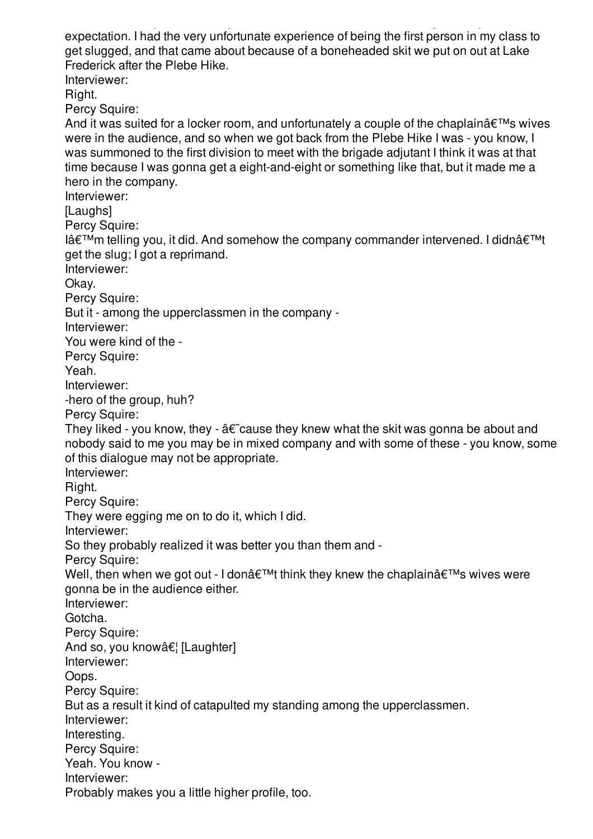You know, that - you know, they wanted me to do certain athletic things or they had an expectation. I had the very unfortunate experience of being the first person in my class to get slugged, and that came about because of a boneheaded skit we put on out at Lake Frederick after the Plebe Hike. Interviewer: Right. Percy Squire: And it was suited for a locker room, and unfortunately a couple of the chaplain $\hat{a} \in \mathbb{N}$ s wives were in the audience, and so when we got back from the Plebe Hike I was - you know, I was summoned to the first division to meet with the brigade adjutant I think it was at that time because I was gonna get a eight-and-eight or something like that, but it made me a hero in the company. Interviewer: [Laughs] Percy Squire:  $I\hat{a}\in\mathbb{M}$ m telling you, it did. And somehow the company commander intervened. I didn $\hat{a}\in\mathbb{M}$ t get the slug; I got a reprimand. Interviewer: Okay. Percy Squire: But it - among the upperclassmen in the company - Interviewer: You were kind of the - Percy Squire: Yeah. Interviewer: -hero of the group, huh? Percy Squire: They liked - you know, they -  $a \in \mathcal{C}$  cause they knew what the skit was gonna be about and nobody said to me you may be in mixed company and with some of these - you know, some of this dialogue may not be appropriate. Interviewer: Right. Percy Squire: They were egging me on to do it, which I did. Interviewer: So they probably realized it was better you than them and - Percy Squire: Well, then when we got out - I donâ $\epsilon^{\text{TM}}$ t think they knew the chaplainâ $\epsilon^{\text{TM}}$ s wives were gonna be in the audience either. Interviewer: Gotcha. Percy Squire: And so, you know  $\hat{\mathbf{a}} \in \mathbb{R}$  [Laughter] Interviewer: Oops. Percy Squire: But as a result it kind of catapulted my standing among the upperclassmen. Interviewer: Interesting. Percy Squire: Yeah. You know - Interviewer: Probably makes you a little higher profile, too.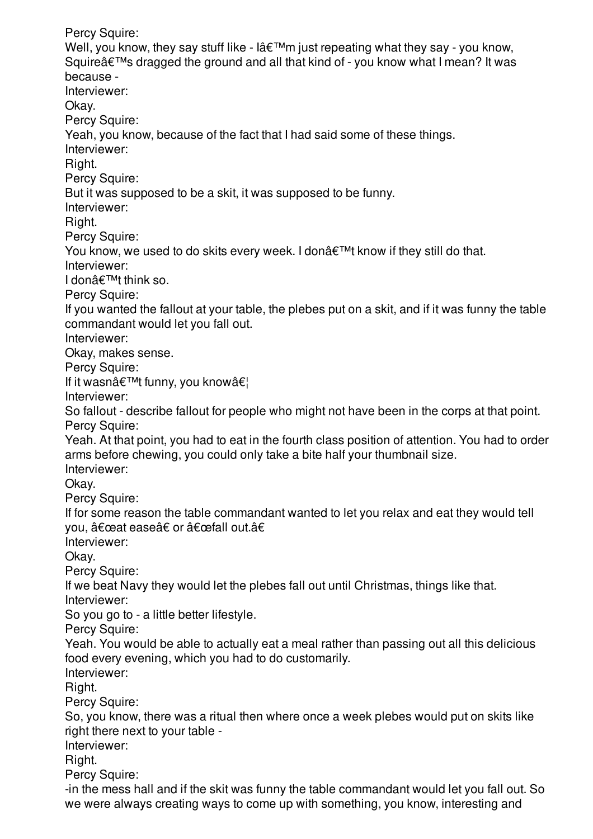Percy Squire: Well, you know, they say stuff like -  $I\hat{a} \in \mathbb{M}$ m just repeating what they say - you know, Squire $\hat{\mathcal{A}} \in \mathbb{R}^N$ s dragged the ground and all that kind of - you know what I mean? It was because - Interviewer: Okay. Percy Squire: Yeah, you know, because of the fact that I had said some of these things. Interviewer: Right. Percy Squire: But it was supposed to be a skit, it was supposed to be funny. Interviewer: Right. Percy Squire: You know, we used to do skits every week. I don't know if they still do that. Interviewer: I don $\hat{\mathbf{a}} \in \mathbb{M}$ t think so. Percy Squire: If you wanted the fallout at your table, the plebes put on a skit, and if it was funny the table commandant would let you fall out. Interviewer: Okay, makes sense. Percy Squire: If it wasn $\hat{\mathbf{a}} \in \mathbb{M}$ t funny, you know $\hat{\mathbf{a}} \in \mathbb{N}$ Interviewer: So fallout - describe fallout for people who might not have been in the corps at that point. Percy Squire: Yeah. At that point, you had to eat in the fourth class position of attention. You had to order arms before chewing, you could only take a bite half your thumbnail size. Interviewer: Okay. Percy Squire: If for some reason the table commandant wanted to let you relax and eat they would tell you, "at ease†or "fall out.â€ Interviewer: Okay. Percy Squire: If we beat Navy they would let the plebes fall out until Christmas, things like that. Interviewer: So you go to - a little better lifestyle. Percy Squire: Yeah. You would be able to actually eat a meal rather than passing out all this delicious food every evening, which you had to do customarily. Interviewer: Right. Percy Squire: So, you know, there was a ritual then where once a week plebes would put on skits like right there next to your table - Interviewer: Right. Percy Squire: -in the mess hall and if the skit was funny the table commandant would let you fall out. So we were always creating ways to come up with something, you know, interesting and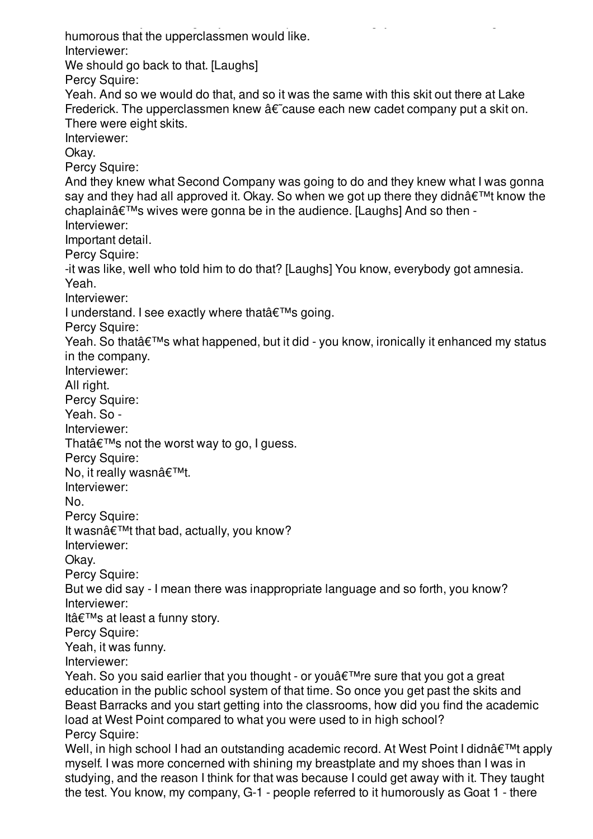we were always creating ways to come up with something, you know, interesting and humorous that the upperclassmen would like. Interviewer: We should go back to that. [Laughs] Percy Squire: Yeah. And so we would do that, and so it was the same with this skit out there at Lake Frederick. The upperclassmen knew  $\hat{a} \in \hat{c}$  cause each new cadet company put a skit on. There were eight skits. Interviewer: Okay. Percy Squire: And they knew what Second Company was going to do and they knew what I was gonna say and they had all approved it. Okay. So when we got up there they didn $\hat{a} \in \mathbb{M}$  know the chaplain's wives were gonna be in the audience. [Laughs] And so then -Interviewer: Important detail. Percy Squire: -it was like, well who told him to do that? [Laughs] You know, everybody got amnesia. Yeah. Interviewer: I understand. I see exactly where that  $\hat{\mathbf{a}} \in \mathbb{M}$ s going. Percy Squire: Yeah. So that's what happened, but it did - you know, ironically it enhanced my status in the company. Interviewer: All right. Percy Squire: Yeah. So - Interviewer: That $\hat{\mathbf{a}} \in \mathbb{M}$ s not the worst way to go, I guess. Percy Squire: No, it really wasn $\hat{a} \in \text{TM}$ . Interviewer: No. Percy Squire: It wasn $\hat{\mathbf{a}} \in \mathbb{M}$ t that bad, actually, you know? Interviewer: Okay. Percy Squire: But we did say - I mean there was inappropriate language and so forth, you know? Interviewer: It's at least a funny story. Percy Squire: Yeah, it was funny. Interviewer: Yeah. So you said earlier that you thought - or you  $\hat{a} \in T^M$ re sure that you got a great education in the public school system of that time. So once you get past the skits and Beast Barracks and you start getting into the classrooms, how did you find the academic load at West Point compared to what you were used to in high school? Percy Squire: Well, in high school I had an outstanding academic record. At West Point I didn't apply myself. I was more concerned with shining my breastplate and my shoes than I was in studying, and the reason I think for that was because I could get away with it. They taught

the test. You know, my company, G-1 - people referred to it humorously as Goat 1 - there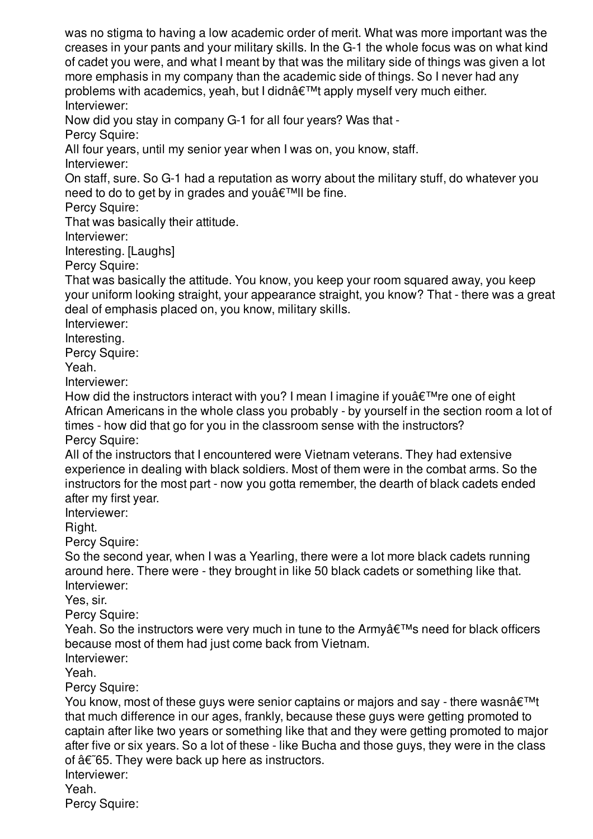was no stigma to having a low academic order of merit. What was more important was the creases in your pants and your military skills. In the G-1 the whole focus was on what kind of cadet you were, and what I meant by that was the military side of things was given a lot more emphasis in my company than the academic side of things. So I never had any problems with academics, yeah, but I didn't apply myself very much either. Interviewer:

Now did you stay in company G-1 for all four years? Was that - Percy Squire:

All four years, until my senior year when I was on, you know, staff.

Interviewer:

On staff, sure. So G-1 had a reputation as worry about the military stuff, do whatever you need to do to get by in grades and you'II be fine.

Percy Squire:

That was basically their attitude.

Interviewer:

Interesting. [Laughs]

Percy Squire:

That was basically the attitude. You know, you keep your room squared away, you keep your uniform looking straight, your appearance straight, you know? That - there was a great deal of emphasis placed on, you know, military skills.

Interviewer:

Interesting.

Percy Squire:

Yeah.

Interviewer:

How did the instructors interact with you? I mean I imagine if you  $\hat{\mathcal{H}}^{\text{TM}}$  re one of eight African Americans in the whole class you probably - by yourself in the section room a lot of times - how did that go for you in the classroom sense with the instructors? Percy Squire:

All of the instructors that I encountered were Vietnam veterans. They had extensive experience in dealing with black soldiers. Most of them were in the combat arms. So the instructors for the most part - now you gotta remember, the dearth of black cadets ended after my first year.

Interviewer:

Right.

Percy Squire:

So the second year, when I was a Yearling, there were a lot more black cadets running around here. There were - they brought in like 50 black cadets or something like that. Interviewer:

Yes, sir.

Percy Squire:

Yeah. So the instructors were very much in tune to the Army $\hat{a} \in \mathbb{M}$ s need for black officers because most of them had just come back from Vietnam.

Interviewer:

Yeah.

Percy Squire:

You know, most of these guys were senior captains or majors and say - there wasn $\hat{a} \in TM$ that much difference in our ages, frankly, because these guys were getting promoted to captain after like two years or something like that and they were getting promoted to major after five or six years. So a lot of these - like Bucha and those guys, they were in the class of  $\hat{a}\hat{\epsilon}$  65. They were back up here as instructors. Interviewer:

Yeah.

Percy Squire: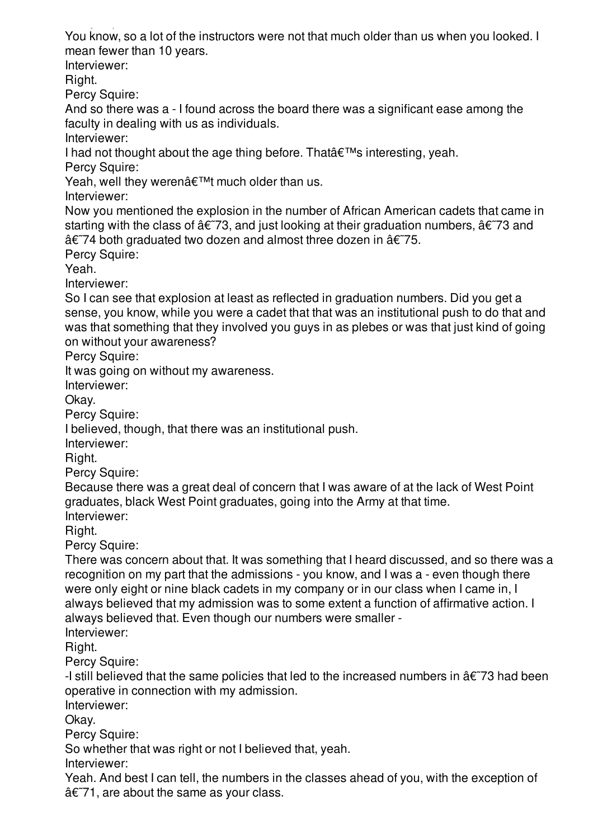Percy Squire: You know, so a lot of the instructors were not that much older than us when you looked. I mean fewer than 10 years.

Interviewer:

Right.

Percy Squire:

And so there was a - I found across the board there was a significant ease among the faculty in dealing with us as individuals.

Interviewer:

I had not thought about the age thing before. That  $\hat{\theta}^{\text{TM}}$ s interesting, yeah.

Percy Squire:

Yeah, well they weren $\hat{a} \in \mathbb{M}$ t much older than us.

Interviewer:

Now you mentioned the explosion in the number of African American cadets that came in starting with the class of  $\hat{\mathcal{A}}\epsilon$  73, and just looking at their graduation numbers,  $\hat{\mathcal{A}}\epsilon$  73 and  $\hat{\mathbf{a}} \in \mathbb{Z}$  both graduated two dozen and almost three dozen in  $\hat{\mathbf{a}} \in \mathbb{Z}$ 75.

Percy Squire:

Yeah.

Interviewer:

So I can see that explosion at least as reflected in graduation numbers. Did you get a sense, you know, while you were a cadet that that was an institutional push to do that and was that something that they involved you guys in as plebes or was that just kind of going on without your awareness?

Percy Squire:

It was going on without my awareness.

Interviewer:

Okay.

Percy Squire:

I believed, though, that there was an institutional push.

Interviewer:

Right.

Percy Squire:

Because there was a great deal of concern that I was aware of at the lack of West Point graduates, black West Point graduates, going into the Army at that time. Interviewer:

Right.

Percy Squire:

There was concern about that. It was something that I heard discussed, and so there was a recognition on my part that the admissions - you know, and I was a - even though there were only eight or nine black cadets in my company or in our class when I came in, I always believed that my admission was to some extent a function of affirmative action. I always believed that. Even though our numbers were smaller -

Interviewer:

Right.

Percy Squire:

-I still believed that the same policies that led to the increased numbers in  $\hat{a}\hat{\epsilon}$  73 had been operative in connection with my admission.

Interviewer:

Okay.

Percy Squire:

So whether that was right or not I believed that, yeah.

Interviewer:

Yeah. And best I can tell, the numbers in the classes ahead of you, with the exception of  $\hat{a} \in \{71\}$ , are about the same as your class.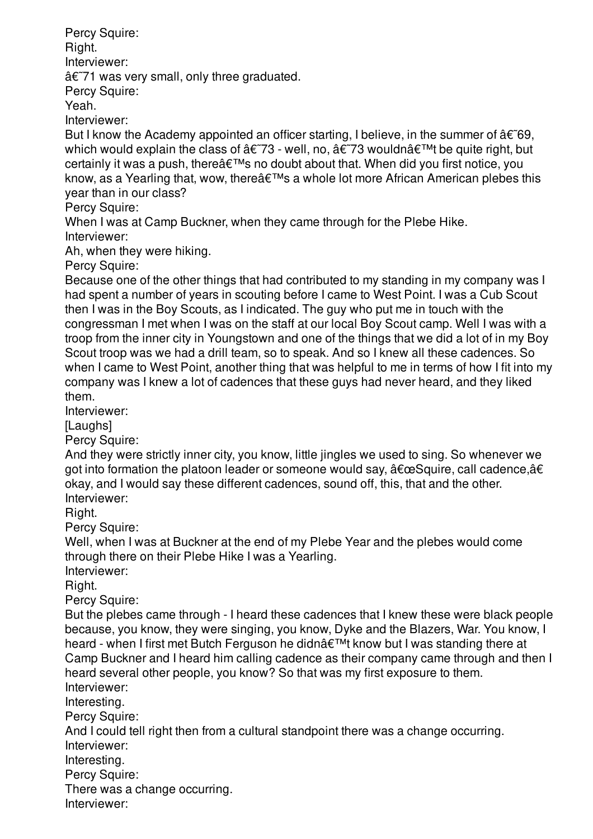Percy Squire: Right. Interviewer:  $\hat{a} \in \{71\}$  was very small, only three graduated.

Percy Squire:

Yeah.

Interviewer:

But I know the Academy appointed an officer starting, I believe, in the summer of  $\hat{a}\hat{\epsilon}$  69, which would explain the class of  $\hat{\mathsf{a}} \in \mathbb{C}$ 73 - well, no,  $\hat{\mathsf{a}} \in \mathbb{C}$ 73 wouldn $\hat{\mathsf{a}} \in \mathbb{C}$ <sup>M</sup>t be quite right, but certainly it was a push, there  $\hat{\mathbf{a}} \in \mathbb{R}^{T M}$ s no doubt about that. When did you first notice, you know, as a Yearling that, wow, there a E™s a whole lot more African American plebes this year than in our class?

Percy Squire:

When I was at Camp Buckner, when they came through for the Plebe Hike.

Interviewer:

Ah, when they were hiking.

Percy Squire:

Because one of the other things that had contributed to my standing in my company was I had spent a number of years in scouting before I came to West Point. I was a Cub Scout then I was in the Boy Scouts, as I indicated. The guy who put me in touch with the congressman I met when I was on the staff at our local Boy Scout camp. Well I was with a troop from the inner city in Youngstown and one of the things that we did a lot of in my Boy Scout troop was we had a drill team, so to speak. And so I knew all these cadences. So when I came to West Point, another thing that was helpful to me in terms of how I fit into my company was I knew a lot of cadences that these guys had never heard, and they liked them.

Interviewer:

[Laughs]

Percy Squire:

And they were strictly inner city, you know, little jingles we used to sing. So whenever we got into formation the platoon leader or someone would say,  $â€æSquire$ , call cadence, $â€$ okay, and I would say these different cadences, sound off, this, that and the other. Interviewer:

Right.

Percy Squire:

Well, when I was at Buckner at the end of my Plebe Year and the plebes would come through there on their Plebe Hike I was a Yearling.

Interviewer:

Right.

Percy Squire:

But the plebes came through - I heard these cadences that I knew these were black people because, you know, they were singing, you know, Dyke and the Blazers, War. You know, I heard - when I first met Butch Ferguson he didn't know but I was standing there at Camp Buckner and I heard him calling cadence as their company came through and then I heard several other people, you know? So that was my first exposure to them. Interviewer:

Interesting.

Percy Squire:

And I could tell right then from a cultural standpoint there was a change occurring.

Interviewer:

Interesting.

Percy Squire:

There was a change occurring.

Interviewer: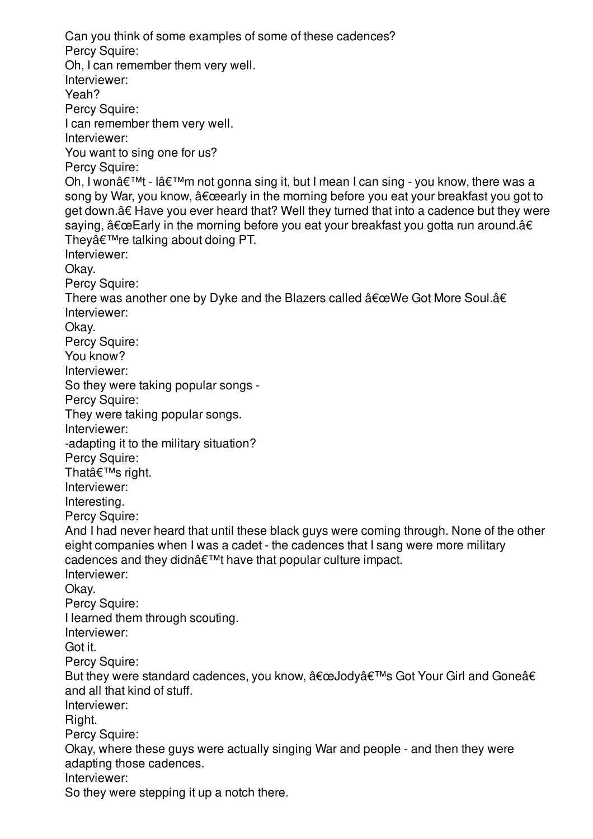Can you think of some examples of some of these cadences? Percy Squire: Oh, I can remember them very well. Interviewer: Yeah? Percy Squire: I can remember them very well. Interviewer: You want to sing one for us? Percy Squire: Oh, I won $\hat{a} \in T^M$ t - I $\hat{a} \in T^M$ m not gonna sing it, but I mean I can sing - you know, there was a song by War, you know,  $\hat{a} \in \hat{c}$  early in the morning before you eat your breakfast you got to get down.â€ Have you ever heard that? Well they turned that into a cadence but they were saying,  $\hat{\alpha} \in \mathbb{R}$  in the morning before you eat your breakfast you gotta run around. $\hat{\alpha} \in \mathbb{R}$ They $\hat{\mathbf{a}} \in \mathbb{M}$ re talking about doing PT. Interviewer: Okay. Percy Squire: There was another one by Dyke and the Blazers called  $\hat{a} \in \hat{w}$ We Got More Soul. $\hat{a} \in$ Interviewer: Okay. Percy Squire: You know? Interviewer: So they were taking popular songs - Percy Squire: They were taking popular songs. Interviewer: -adapting it to the military situation? Percy Squire: Thatâ€<sup>™</sup>s right. Interviewer: Interesting. Percy Squire: And I had never heard that until these black guys were coming through. None of the other eight companies when I was a cadet - the cadences that I sang were more military cadences and they didn $\hat{\mathbf{a}} \in \mathbb{M}$  have that popular culture impact. Interviewer: Okay. Percy Squire: I learned them through scouting. Interviewer: Got it. Percy Squire: But they were standard cadences, you know,  $\hat{a} \in \mathbb{C}$ Jody $\hat{a} \in \mathbb{C}^{\mathbb{N}}$ s Got Your Girl and Goneâ€ and all that kind of stuff. Interviewer: Right. Percy Squire: Okay, where these guys were actually singing War and people - and then they were adapting those cadences. Interviewer: So they were stepping it up a notch there.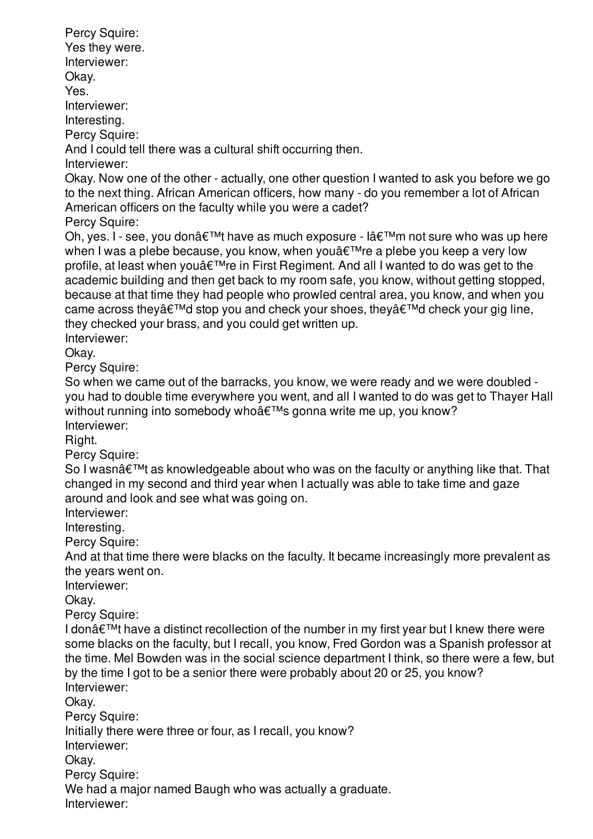Percy Squire: Yes they were. Interviewer: Okay. Yes. Interviewer: Interesting. Percy Squire: And I could tell there was a cultural shift occurring then. Interviewer: Okay. Now one of the other - actually, one other question I wanted to ask you before we go to the next thing. African American officers, how many - do you remember a lot of African American officers on the faculty while you were a cadet? Percy Squire: Oh, yes. I - see, you donâ $\epsilon^{\text{TM}}$ t have as much exposure - lâ $\epsilon^{\text{TM}}$ m not sure who was up here when I was a plebe because, you know, when you're a plebe you keep a very low profile, at least when you  $\hat{\mathbf{z}}^{\text{TM}}$  re in First Regiment. And all I wanted to do was get to the academic building and then get back to my room safe, you know, without getting stopped, because at that time they had people who prowled central area, you know, and when you came across they  $\hat{\alpha} \in \mathbb{M}$ d stop you and check your shoes, they  $\hat{\alpha} \in \mathbb{M}$ d check your gig line, they checked your brass, and you could get written up. Interviewer: Okay. Percy Squire: So when we came out of the barracks, you know, we were ready and we were doubled you had to double time everywhere you went, and all I wanted to do was get to Thayer Hall without running into somebody who's gonna write me up, you know? Interviewer: Right. Percy Squire: So I wasn $\hat{\mathcal{A}} \in \mathbb{M}$ t as knowledgeable about who was on the faculty or anything like that. That changed in my second and third year when I actually was able to take time and gaze around and look and see what was going on. Interviewer: Interesting. Percy Squire: And at that time there were blacks on the faculty. It became increasingly more prevalent as the years went on. Interviewer: Okay. Percy Squire: I don $\hat{a} \in \mathbb{M}$  have a distinct recollection of the number in my first year but I knew there were some blacks on the faculty, but I recall, you know, Fred Gordon was a Spanish professor at the time. Mel Bowden was in the social science department I think, so there were a few, but by the time I got to be a senior there were probably about 20 or 25, you know? Interviewer: Okay. Percy Squire: Initially there were three or four, as I recall, you know? Interviewer: Okay. Percy Squire: We had a major named Baugh who was actually a graduate. Interviewer: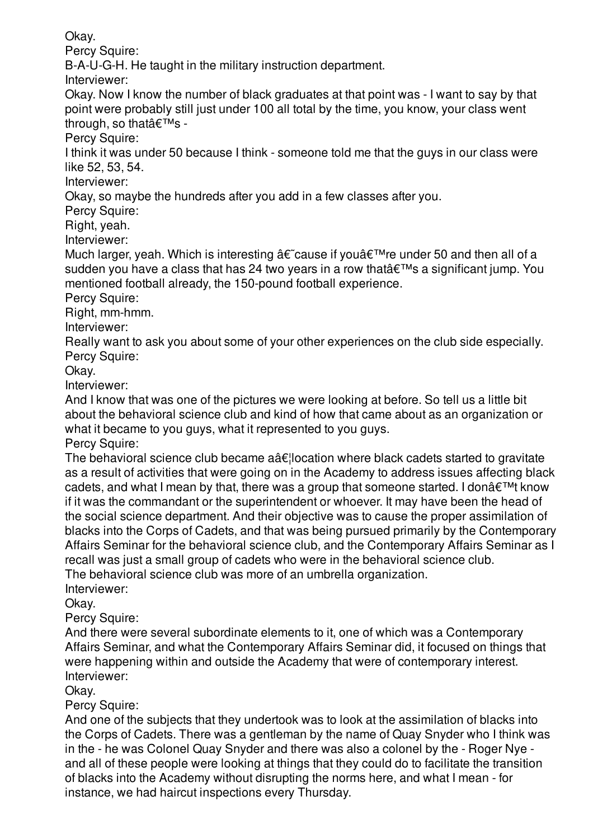Okay.

Percy Squire:

B-A-U-G-H. He taught in the military instruction department.

Interviewer:

Okay. Now I know the number of black graduates at that point was - I want to say by that point were probably still just under 100 all total by the time, you know, your class went through, so that  $\hat{a} \in \text{TM}$ s -

Percy Squire:

I think it was under 50 because I think - someone told me that the guys in our class were like 52, 53, 54.

Interviewer:

Okay, so maybe the hundreds after you add in a few classes after you.

Percy Squire:

Right, yeah.

Interviewer:

Much larger, yeah. Which is interesting  $\hat{a}\hat{\epsilon}$  cause if you $\hat{a}\hat{\epsilon}^{\text{TM}}$ re under 50 and then all of a sudden you have a class that has 24 two years in a row that's a significant jump. You mentioned football already, the 150-pound football experience.

Percy Squire:

Right, mm-hmm.

Interviewer:

Really want to ask you about some of your other experiences on the club side especially. Percy Squire:

Okay.

Interviewer:

And I know that was one of the pictures we were looking at before. So tell us a little bit about the behavioral science club and kind of how that came about as an organization or what it became to you guys, what it represented to you guys.

Percy Squire:

The behavioral science club became  $a\hat{\alpha} \in \mathcal{C}$  location where black cadets started to gravitate as a result of activities that were going on in the Academy to address issues affecting black cadets, and what I mean by that, there was a group that someone started. I donâ $\epsilon^{\text{TM}}$ t know if it was the commandant or the superintendent or whoever. It may have been the head of the social science department. And their objective was to cause the proper assimilation of blacks into the Corps of Cadets, and that was being pursued primarily by the Contemporary Affairs Seminar for the behavioral science club, and the Contemporary Affairs Seminar as I recall was just a small group of cadets who were in the behavioral science club. The behavioral science club was more of an umbrella organization.

Interviewer:

Okay.

Percy Squire:

And there were several subordinate elements to it, one of which was a Contemporary Affairs Seminar, and what the Contemporary Affairs Seminar did, it focused on things that were happening within and outside the Academy that were of contemporary interest. Interviewer:

Okay.

Percy Squire:

And one of the subjects that they undertook was to look at the assimilation of blacks into the Corps of Cadets. There was a gentleman by the name of Quay Snyder who I think was in the - he was Colonel Quay Snyder and there was also a colonel by the - Roger Nye and all of these people were looking at things that they could do to facilitate the transition of blacks into the Academy without disrupting the norms here, and what I mean - for instance, we had haircut inspections every Thursday.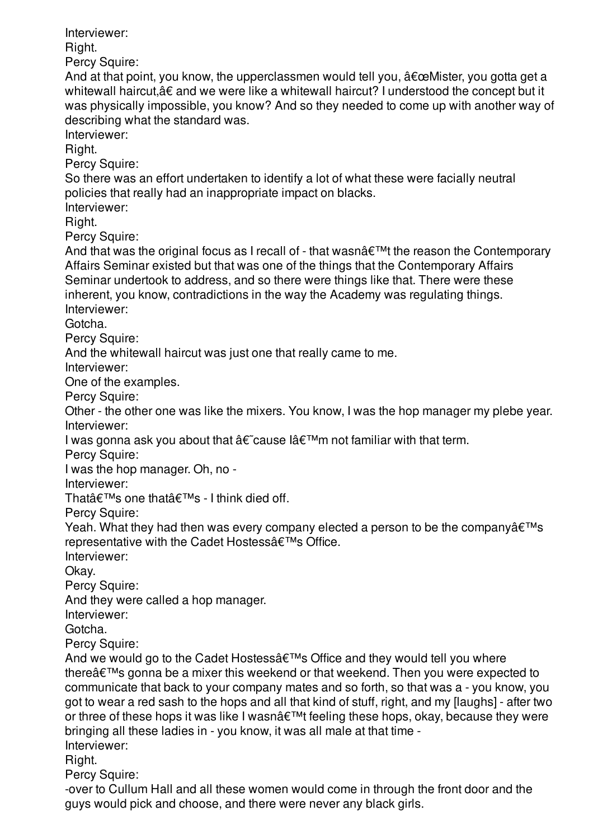Interviewer:

Right.

Percy Squire:

And at that point, you know, the upperclassmen would tell you,  $\hat{a} \in \mathbb{C}$ Mister, you gotta get a whitewall haircut,â€ and we were like a whitewall haircut? I understood the concept but it was physically impossible, you know? And so they needed to come up with another way of describing what the standard was.

Interviewer:

Right.

Percy Squire:

So there was an effort undertaken to identify a lot of what these were facially neutral policies that really had an inappropriate impact on blacks.

Interviewer:

Right.

Percy Squire:

And that was the original focus as I recall of - that wasn $\hat{a} \in \mathbb{T}^M$ t the reason the Contemporary Affairs Seminar existed but that was one of the things that the Contemporary Affairs Seminar undertook to address, and so there were things like that. There were these inherent, you know, contradictions in the way the Academy was regulating things. Interviewer:

Gotcha.

Percy Squire:

And the whitewall haircut was just one that really came to me.

Interviewer:

One of the examples.

Percy Squire:

Other - the other one was like the mixers. You know, I was the hop manager my plebe year. Interviewer:

I was gonna ask you about that  $\hat{a} \in \tilde{c}$  cause  $\hat{a} \in \tilde{c}^{\text{TM}}$ m not familiar with that term.

Percy Squire:

I was the hop manager. Oh, no -

Interviewer:

That's one that's - I think died off.

Percy Squire:

Yeah. What they had then was every company elected a person to be the company  $\hat{\alpha} \in \mathbb{N}$ s representative with the Cadet Hostess $\hat{a} \in T^{M}$ s Office.

Interviewer:

Okay.

Percy Squire:

And they were called a hop manager.

Interviewer:

Gotcha.

Percy Squire:

And we would go to the Cadet Hostess's Office and they would tell you where there $\hat{a} \in \mathbb{M}$ s gonna be a mixer this weekend or that weekend. Then you were expected to communicate that back to your company mates and so forth, so that was a - you know, you got to wear a red sash to the hops and all that kind of stuff, right, and my [laughs] - after two or three of these hops it was like I wasn $\hat{\mathbf{a}} \in \mathbb{M}$  feeling these hops, okay, because they were bringing all these ladies in - you know, it was all male at that time - Interviewer:

Right.

Percy Squire:

-over to Cullum Hall and all these women would come in through the front door and the guys would pick and choose, and there were never any black girls.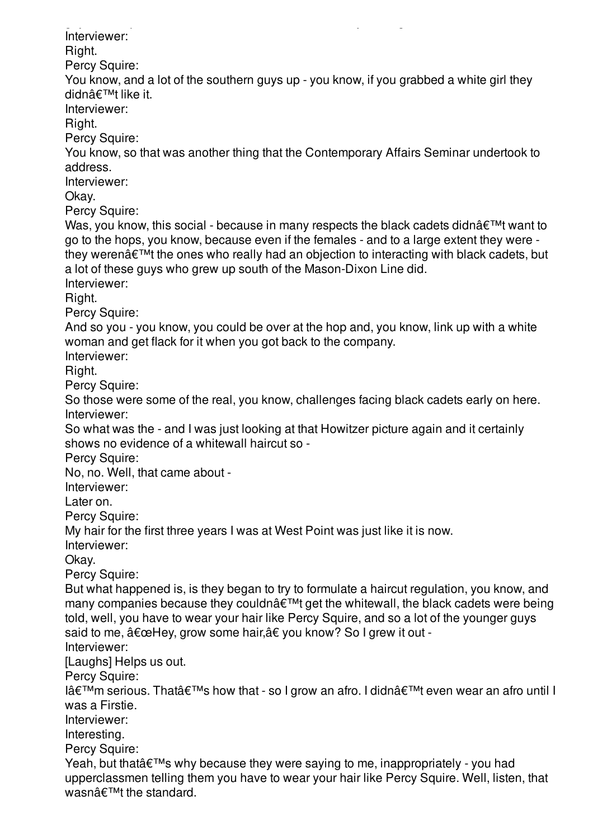guys would pick and choose, and there were never any black girls. Interviewer: Right. Percy Squire: You know, and a lot of the southern guys up - you know, if you grabbed a white girl they didnâ€<sup>™</sup>t like it. Interviewer: Right. Percy Squire: You know, so that was another thing that the Contemporary Affairs Seminar undertook to address. Interviewer: Okay. Percy Squire: Was, you know, this social - because in many respects the black cadets didn $\hat{a} \in \mathbb{M}$  want to go to the hops, you know, because even if the females - and to a large extent they were they weren $\hat{a} \in \mathbb{M}$  the ones who really had an objection to interacting with black cadets, but a lot of these guys who grew up south of the Mason-Dixon Line did. Interviewer: Right. Percy Squire: And so you - you know, you could be over at the hop and, you know, link up with a white woman and get flack for it when you got back to the company. Interviewer: Right. Percy Squire: So those were some of the real, you know, challenges facing black cadets early on here. Interviewer: So what was the - and I was just looking at that Howitzer picture again and it certainly shows no evidence of a whitewall haircut so - Percy Squire: No, no. Well, that came about - Interviewer: Later on. Percy Squire: My hair for the first three years I was at West Point was just like it is now. Interviewer: Okay. Percy Squire: But what happened is, is they began to try to formulate a haircut regulation, you know, and many companies because they couldn't get the whitewall, the black cadets were being told, well, you have to wear your hair like Percy Squire, and so a lot of the younger guys said to me,  $â€ceHey, grow some hair,†you know? So I grew it out -$ Interviewer: [Laughs] Helps us out. Percy Squire: I'm serious. That's how that - so I grow an afro. I didn't even wear an afro until I was a Firstie. Interviewer: Interesting. Percy Squire: Yeah, but that  $\hat{\mathcal{H}}^{\mathsf{M}}$ s why because they were saying to me, inappropriately - you had upperclassmen telling them you have to wear your hair like Percy Squire. Well, listen, that wasn $\hat{\mathbf{a}} \in \mathbb{M}$  the standard.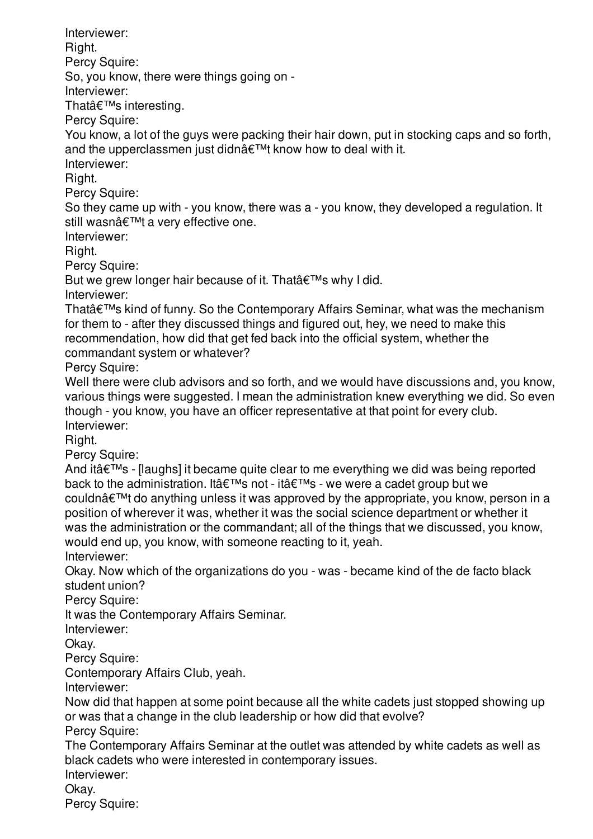Interviewer: Right. Percy Squire: So, you know, there were things going on - Interviewer: That's interesting. Percy Squire: You know, a lot of the guys were packing their hair down, put in stocking caps and so forth, and the upperclassmen just didn $\hat{\mathbf{a}} \in \mathbb{M}$ t know how to deal with it. Interviewer: Right. Percy Squire: So they came up with - you know, there was a - you know, they developed a regulation. It still wasn't a very effective one. Interviewer: Right. Percy Squire: But we grew longer hair because of it. That  $\hat{\theta} \in \mathbb{M}$ s why I did. Interviewer:

That $\hat{\mathcal{H}}^{\text{TM}}$ s kind of funny. So the Contemporary Affairs Seminar, what was the mechanism for them to - after they discussed things and figured out, hey, we need to make this recommendation, how did that get fed back into the official system, whether the commandant system or whatever?

Percy Squire:

Well there were club advisors and so forth, and we would have discussions and, you know, various things were suggested. I mean the administration knew everything we did. So even though - you know, you have an officer representative at that point for every club. Interviewer:

Right.

Percy Squire:

And it  $\hat{\mathbf{a}} \in \mathbb{M}$ s - [laughs] it became quite clear to me everything we did was being reported back to the administration. It  $\hat{\mathbf{a}} \in \mathbb{M}$ s not - it  $\hat{\mathbf{a}} \in \mathbb{M}$ s - we were a cadet group but we couldn $\hat{\mathbf{\alpha}} \in \mathbb{R}^{m}$  do anything unless it was approved by the appropriate, you know, person in a position of wherever it was, whether it was the social science department or whether it was the administration or the commandant; all of the things that we discussed, you know, would end up, you know, with someone reacting to it, yeah.

Interviewer:

Okay. Now which of the organizations do you - was - became kind of the de facto black student union?

Percy Squire:

It was the Contemporary Affairs Seminar.

Interviewer:

Okay.

Percy Squire:

Contemporary Affairs Club, yeah.

Interviewer:

Now did that happen at some point because all the white cadets just stopped showing up or was that a change in the club leadership or how did that evolve? Percy Squire:

The Contemporary Affairs Seminar at the outlet was attended by white cadets as well as black cadets who were interested in contemporary issues.

Interviewer:

Okay.

Percy Squire: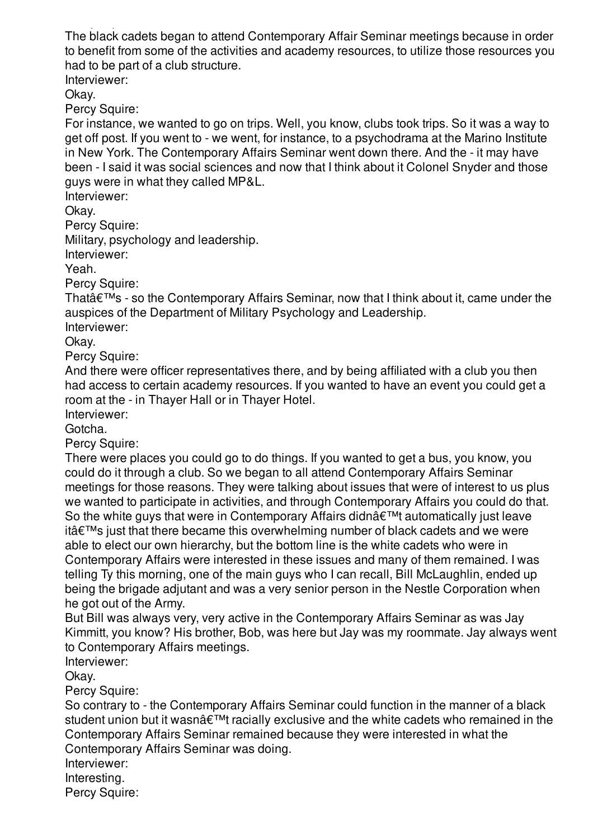Percy Squire: The black cadets began to attend Contemporary Affair Seminar meetings because in order to benefit from some of the activities and academy resources, to utilize those resources you had to be part of a club structure.

Interviewer:

Okay.

Percy Squire:

For instance, we wanted to go on trips. Well, you know, clubs took trips. So it was a way to get off post. If you went to - we went, for instance, to a psychodrama at the Marino Institute in New York. The Contemporary Affairs Seminar went down there. And the - it may have been - I said it was social sciences and now that I think about it Colonel Snyder and those guys were in what they called MP&L.

Interviewer:

Okay.

Percy Squire:

Military, psychology and leadership.

Interviewer:

Yeah.

Percy Squire:

That $\hat{a} \in \mathbb{M}$ s - so the Contemporary Affairs Seminar, now that I think about it, came under the auspices of the Department of Military Psychology and Leadership.

Interviewer:

Okay.

Percy Squire:

And there were officer representatives there, and by being affiliated with a club you then had access to certain academy resources. If you wanted to have an event you could get a room at the - in Thayer Hall or in Thayer Hotel.

Interviewer:

Gotcha.

Percy Squire:

There were places you could go to do things. If you wanted to get a bus, you know, you could do it through a club. So we began to all attend Contemporary Affairs Seminar meetings for those reasons. They were talking about issues that were of interest to us plus we wanted to participate in activities, and through Contemporary Affairs you could do that. So the white guys that were in Contemporary Affairs didn $\hat{\mathcal{H}}^{\text{TM}}$  automatically just leave itâ $\epsilon$ <sup>TM</sup>s just that there became this overwhelming number of black cadets and we were able to elect our own hierarchy, but the bottom line is the white cadets who were in Contemporary Affairs were interested in these issues and many of them remained. I was telling Ty this morning, one of the main guys who I can recall, Bill McLaughlin, ended up being the brigade adjutant and was a very senior person in the Nestle Corporation when he got out of the Army.

But Bill was always very, very active in the Contemporary Affairs Seminar as was Jay Kimmitt, you know? His brother, Bob, was here but Jay was my roommate. Jay always went to Contemporary Affairs meetings.

Interviewer:

Okay.

Percy Squire:

So contrary to - the Contemporary Affairs Seminar could function in the manner of a black student union but it wasn $\hat{a} \in \mathbb{M}$  racially exclusive and the white cadets who remained in the Contemporary Affairs Seminar remained because they were interested in what the Contemporary Affairs Seminar was doing.

Interviewer:

Interesting.

Percy Squire: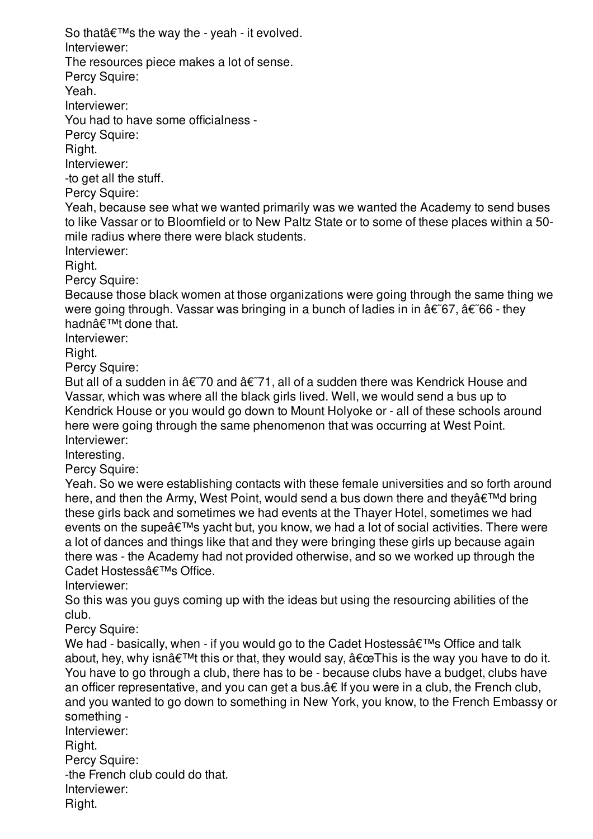So that  $\hat{\epsilon}^{\text{TM}}$ s the way the - yeah - it evolved. Interviewer: The resources piece makes a lot of sense. Percy Squire: Yeah. Interviewer: You had to have some officialness - Percy Squire: Right. Interviewer: -to get all the stuff. Percy Squire: Yeah, because see what we wanted primarily was we wanted the Academy to send buses to like Vassar or to Bloomfield or to New Paltz State or to some of these places within a 50 mile radius where there were black students. Interviewer: Right. Percy Squire: Because those black women at those organizations were going through the same thing we were going through. Vassar was bringing in a bunch of ladies in in  $\hat{a}\hat{\epsilon}$  67,  $\hat{a}\hat{\epsilon}$  66 - they hadn $A \in T$ <sup>Mt</sup> done that. Interviewer: Right. Percy Squire: But all of a sudden in  $\hat{a}\in 70$  and  $\hat{a}\in 71$ , all of a sudden there was Kendrick House and Vassar, which was where all the black girls lived. Well, we would send a bus up to Kendrick House or you would go down to Mount Holyoke or - all of these schools around here were going through the same phenomenon that was occurring at West Point. Interviewer: Interesting. Percy Squire: Yeah. So we were establishing contacts with these female universities and so forth around here, and then the Army, West Point, would send a bus down there and they  $\hat{\alpha} \in \mathbb{N}$  bring these girls back and sometimes we had events at the Thayer Hotel, sometimes we had events on the supe  $\hat{a} \in \mathbb{N}$ s yacht but, you know, we had a lot of social activities. There were a lot of dances and things like that and they were bringing these girls up because again there was - the Academy had not provided otherwise, and so we worked up through the Cadet Hostess's Office. Interviewer: So this was you guys coming up with the ideas but using the resourcing abilities of the club. Percy Squire: We had - basically, when - if you would go to the Cadet Hostess $\hat{\mathbf{a}} \in \mathbb{M}$ s Office and talk about, hey, why isn $\hat{\mathfrak{a}} \in \mathbb{T}^M$ t this or that, they would say,  $\hat{\mathfrak{a}} \in \mathbb{C}$ This is the way you have to do it. You have to go through a club, there has to be - because clubs have a budget, clubs have an officer representative, and you can get a bus.â€ If you were in a club, the French club, and you wanted to go down to something in New York, you know, to the French Embassy or something - Interviewer: Right. Percy Squire: -the French club could do that. Interviewer: Right.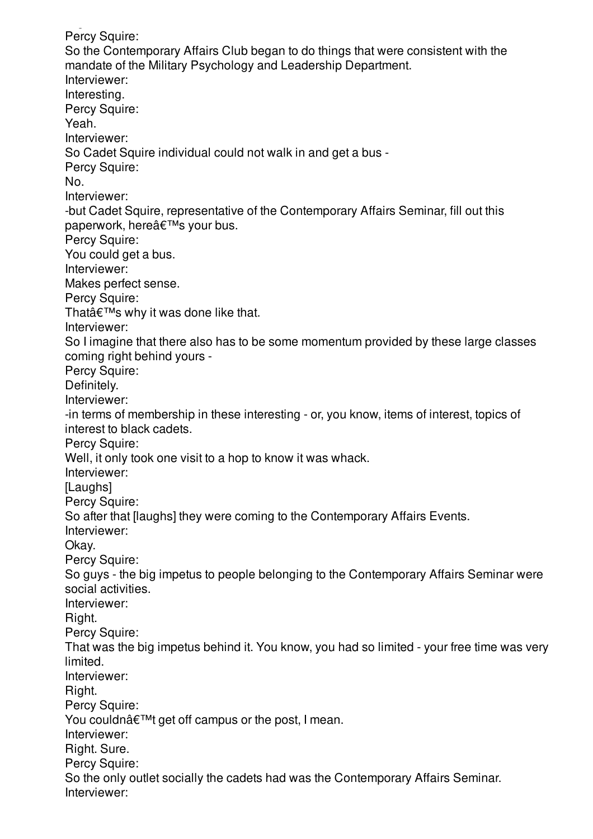Right. Percy Squire: So the Contemporary Affairs Club began to do things that were consistent with the mandate of the Military Psychology and Leadership Department. Interviewer: Interesting. Percy Squire: Yeah. Interviewer: So Cadet Squire individual could not walk in and get a bus - Percy Squire: No. Interviewer: -but Cadet Squire, representative of the Contemporary Affairs Seminar, fill out this paperwork, here's your bus. Percy Squire: You could get a bus. Interviewer: Makes perfect sense. Percy Squire: That $\hat{a} \in \mathbb{M}$ s why it was done like that. Interviewer: So I imagine that there also has to be some momentum provided by these large classes coming right behind yours - Percy Squire: Definitely. Interviewer: -in terms of membership in these interesting - or, you know, items of interest, topics of interest to black cadets. Percy Squire: Well, it only took one visit to a hop to know it was whack. Interviewer: [Laughs] Percy Squire: So after that [laughs] they were coming to the Contemporary Affairs Events. Interviewer: Okay. Percy Squire: So guys - the big impetus to people belonging to the Contemporary Affairs Seminar were social activities. Interviewer: Right. Percy Squire: That was the big impetus behind it. You know, you had so limited - your free time was very limited. Interviewer: Right. Percy Squire: You couldn $\hat{\mathbf{a}} \in \mathbb{M}$  get off campus or the post, I mean. Interviewer: Right. Sure. Percy Squire: So the only outlet socially the cadets had was the Contemporary Affairs Seminar. Interviewer: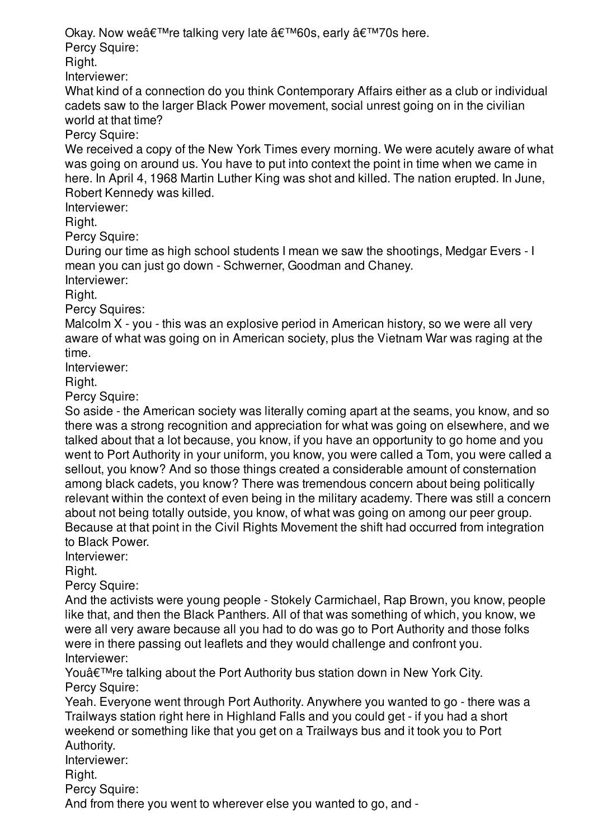Okay. Now we're talking very late  $\hat{a}$ €™60s, early  $\hat{a}$ €™70s here.

Percy Squire:

Right.

Interviewer:

What kind of a connection do you think Contemporary Affairs either as a club or individual cadets saw to the larger Black Power movement, social unrest going on in the civilian world at that time?

Percy Squire:

We received a copy of the New York Times every morning. We were acutely aware of what was going on around us. You have to put into context the point in time when we came in here. In April 4, 1968 Martin Luther King was shot and killed. The nation erupted. In June, Robert Kennedy was killed.

Interviewer:

Right.

Percy Squire:

During our time as high school students I mean we saw the shootings, Medgar Evers - I mean you can just go down - Schwerner, Goodman and Chaney.

Interviewer:

Right.

Percy Squires:

Malcolm X - you - this was an explosive period in American history, so we were all very aware of what was going on in American society, plus the Vietnam War was raging at the time.

Interviewer:

Right.

Percy Squire:

So aside - the American society was literally coming apart at the seams, you know, and so there was a strong recognition and appreciation for what was going on elsewhere, and we talked about that a lot because, you know, if you have an opportunity to go home and you went to Port Authority in your uniform, you know, you were called a Tom, you were called a sellout, you know? And so those things created a considerable amount of consternation among black cadets, you know? There was tremendous concern about being politically relevant within the context of even being in the military academy. There was still a concern about not being totally outside, you know, of what was going on among our peer group. Because at that point in the Civil Rights Movement the shift had occurred from integration to Black Power.

Interviewer:

Right.

Percy Squire:

And the activists were young people - Stokely Carmichael, Rap Brown, you know, people like that, and then the Black Panthers. All of that was something of which, you know, we were all very aware because all you had to do was go to Port Authority and those folks were in there passing out leaflets and they would challenge and confront you. Interviewer:

You're talking about the Port Authority bus station down in New York City. Percy Squire:

Yeah. Everyone went through Port Authority. Anywhere you wanted to go - there was a Trailways station right here in Highland Falls and you could get - if you had a short weekend or something like that you get on a Trailways bus and it took you to Port Authority.

Interviewer:

Right.

Percy Squire:

And from there you went to wherever else you wanted to go, and -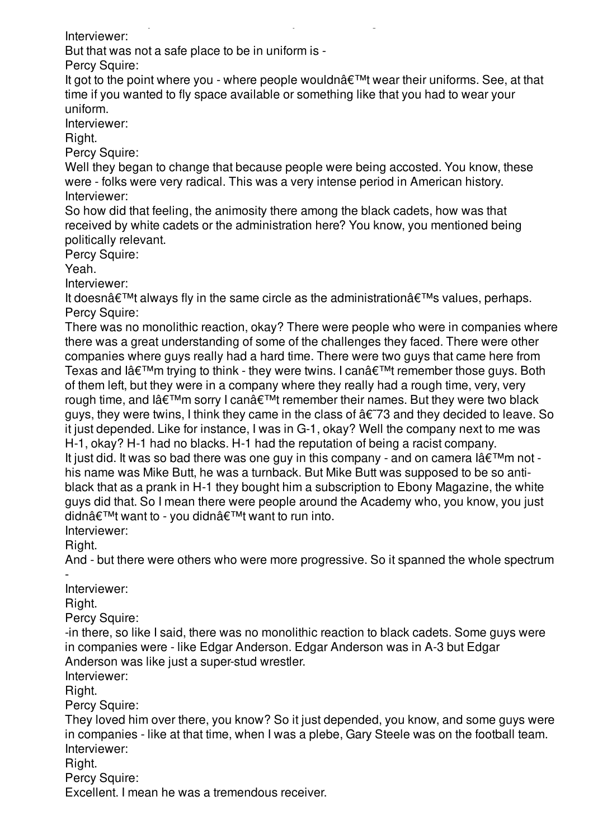And from the you went to where  $\alpha$  you wanted to go  $\alpha$  you wanted to go, and  $\alpha$ Interviewer:

But that was not a safe place to be in uniform is -

Percy Squire:

It got to the point where you - where people wouldn $\hat{a} \in \mathbb{M}$  wear their uniforms. See, at that time if you wanted to fly space available or something like that you had to wear your uniform.

Interviewer:

Right.

Percy Squire:

Well they began to change that because people were being accosted. You know, these were - folks were very radical. This was a very intense period in American history. Interviewer:

So how did that feeling, the animosity there among the black cadets, how was that received by white cadets or the administration here? You know, you mentioned being politically relevant.

Percy Squire:

Yeah.

Interviewer:

It doesn $\hat{a} \in \mathbb{M}$  always fly in the same circle as the administration $\hat{a} \in \mathbb{M}$ s values, perhaps. Percy Squire:

There was no monolithic reaction, okay? There were people who were in companies where there was a great understanding of some of the challenges they faced. There were other companies where guys really had a hard time. There were two guys that came here from Texas and lâ $\epsilon^{\text{TM}}$ m trying to think - they were twins. I canâ $\epsilon^{\text{TM}}$ t remember those guys. Both of them left, but they were in a company where they really had a rough time, very, very rough time, and  $\hat{a} \in \text{TM}$ m sorry I can $\hat{a} \in \text{TM}$  remember their names. But they were two black guys, they were twins, I think they came in the class of  $\hat{\alpha} \in \{73\}$  and they decided to leave. So it just depended. Like for instance, I was in G-1, okay? Well the company next to me was H-1, okay? H-1 had no blacks. H-1 had the reputation of being a racist company. It just did. It was so bad there was one guy in this company - and on camera  $I\hat{a} \in I^M m$  not his name was Mike Butt, he was a turnback. But Mike Butt was supposed to be so antiblack that as a prank in H-1 they bought him a subscription to Ebony Magazine, the white guys did that. So I mean there were people around the Academy who, you know, you just didn $\hat{\mathbf{a}} \in \mathbb{M}$ t want to - you didn $\hat{\mathbf{a}} \in \mathbb{M}$ t want to run into.

Interviewer:

Right.

-

And - but there were others who were more progressive. So it spanned the whole spectrum

Interviewer: Right. Percy Squire: -in there, so like I said, there was no monolithic reaction to black cadets. Some guys were in companies were - like Edgar Anderson. Edgar Anderson was in A-3 but Edgar Anderson was like just a super-stud wrestler. Interviewer: Right. Percy Squire: They loved him over there, you know? So it just depended, you know, and some guys were in companies - like at that time, when I was a plebe, Gary Steele was on the football team. Interviewer: Right. Percy Squire:

Excellent. I mean he was a tremendous receiver.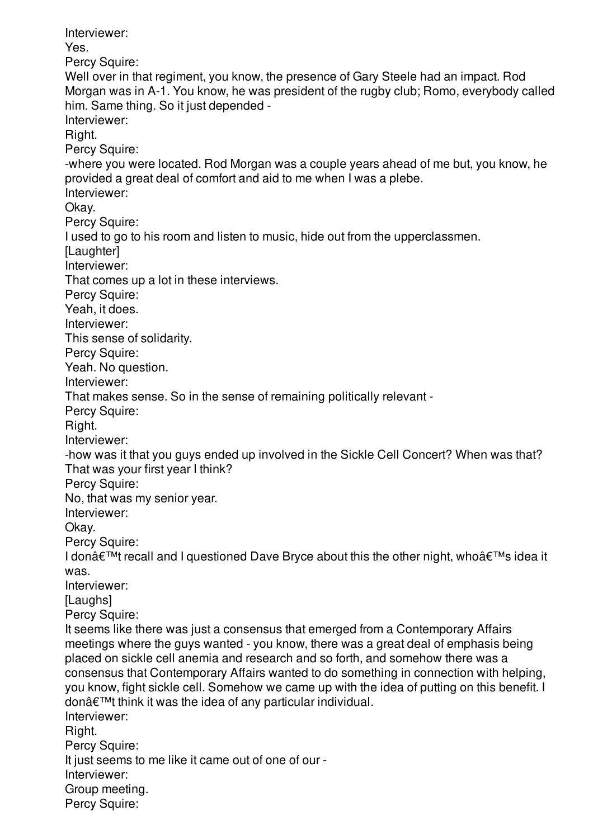Interviewer: Yes. Percy Squire: Well over in that regiment, you know, the presence of Gary Steele had an impact. Rod Morgan was in A-1. You know, he was president of the rugby club; Romo, everybody called him. Same thing. So it just depended -Interviewer: Right. Percy Squire: -where you were located. Rod Morgan was a couple years ahead of me but, you know, he provided a great deal of comfort and aid to me when I was a plebe. Interviewer: Okay. Percy Squire: I used to go to his room and listen to music, hide out from the upperclassmen. [Laughter] Interviewer: That comes up a lot in these interviews. Percy Squire: Yeah, it does. Interviewer: This sense of solidarity. Percy Squire: Yeah. No question. Interviewer: That makes sense. So in the sense of remaining politically relevant - Percy Squire: Right. Interviewer: -how was it that you guys ended up involved in the Sickle Cell Concert? When was that? That was your first year I think? Percy Squire: No, that was my senior year. Interviewer: Okay. Percy Squire: I don $\hat{\mathbf{a}} \in \mathbb{M}$ t recall and I questioned Dave Bryce about this the other night, who $\hat{\mathbf{a}} \in \mathbb{M}$ s idea it was. Interviewer: [Laughs] Percy Squire: It seems like there was just a consensus that emerged from a Contemporary Affairs meetings where the guys wanted - you know, there was a great deal of emphasis being placed on sickle cell anemia and research and so forth, and somehow there was a consensus that Contemporary Affairs wanted to do something in connection with helping, you know, fight sickle cell. Somehow we came up with the idea of putting on this benefit. I  $\theta$ don $\hat{\theta} \in \mathbb{M}$  think it was the idea of any particular individual. Interviewer: Right. Percy Squire: It just seems to me like it came out of one of our - Interviewer: Group meeting. Percy Squire: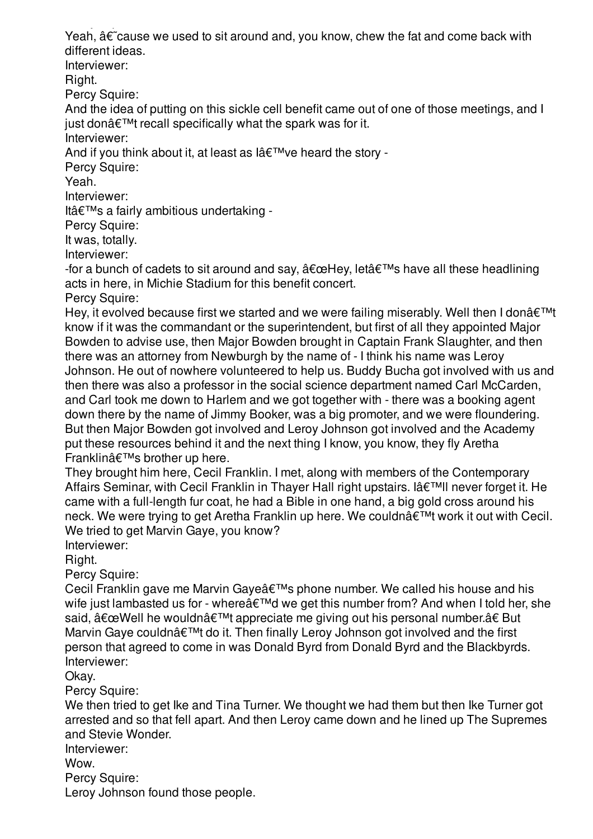Percy Squire: Yeah,  $\hat{a}\hat{\epsilon}$  cause we used to sit around and, you know, chew the fat and come back with different ideas.

Interviewer:

Right.

Percy Squire:

And the idea of putting on this sickle cell benefit came out of one of those meetings, and I just don $\hat{\mathbf{a}} \in \mathbb{M}$  recall specifically what the spark was for it.

Interviewer:

And if you think about it, at least as  $\hat{A} \in T^{M}$  ve heard the story -

Percy Squire:

Yeah.

Interviewer:

It's a fairly ambitious undertaking -

Percy Squire:

It was, totally.

Interviewer:

-for a bunch of cadets to sit around and say,  $\hat{a} \in \text{ceHey}$ , let $\hat{a} \in \text{Im}s$  have all these headlining acts in here, in Michie Stadium for this benefit concert.

Percy Squire:

Hey, it evolved because first we started and we were failing miserably. Well then I donâ $\epsilon^{\text{TM}}$ t know if it was the commandant or the superintendent, but first of all they appointed Major Bowden to advise use, then Major Bowden brought in Captain Frank Slaughter, and then there was an attorney from Newburgh by the name of - I think his name was Leroy Johnson. He out of nowhere volunteered to help us. Buddy Bucha got involved with us and then there was also a professor in the social science department named Carl McCarden, and Carl took me down to Harlem and we got together with - there was a booking agent down there by the name of Jimmy Booker, was a big promoter, and we were floundering. But then Major Bowden got involved and Leroy Johnson got involved and the Academy put these resources behind it and the next thing I know, you know, they fly Aretha Franklin's brother up here.

They brought him here, Cecil Franklin. I met, along with members of the Contemporary Affairs Seminar, with Cecil Franklin in Thaver Hall right upstairs.  $\|\hat{\mathbf{a}}\|$  never forget it. He came with a full-length fur coat, he had a Bible in one hand, a big gold cross around his neck. We were trying to get Aretha Franklin up here. We couldn't work it out with Cecil. We tried to get Marvin Gaye, you know?

Interviewer:

Right.

Percy Squire:

Cecil Franklin gave me Marvin Gaye's phone number. We called his house and his wife just lambasted us for - where $\hat{a} \in \mathbb{M}$  we get this number from? And when I told her, she said,  $â€ceWell$  he wouldn't appreciate me giving out his personal number.†But Marvin Gaye couldnâ€<sup>™</sup>t do it. Then finally Leroy Johnson got involved and the first person that agreed to come in was Donald Byrd from Donald Byrd and the Blackbyrds. Interviewer:

Okay.

Percy Squire:

We then tried to get Ike and Tina Turner. We thought we had them but then Ike Turner got arrested and so that fell apart. And then Leroy came down and he lined up The Supremes and Stevie Wonder.

Interviewer:

Wow.

Percy Squire:

Leroy Johnson found those people.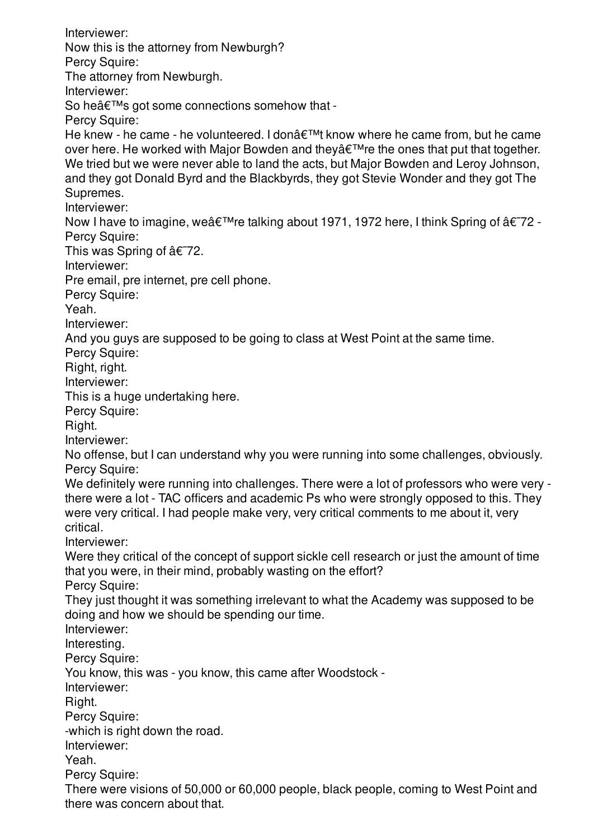Interviewer: Now this is the attorney from Newburgh? Percy Squire: The attorney from Newburgh. Interviewer: So he $\hat{a} \in T^{M}$ s got some connections somehow that -Percy Squire: He knew - he came - he volunteered. I don $\hat{\mathcal{A}} \in \mathbb{R}^{n}$  know where he came from, but he came over here. He worked with Major Bowden and they $\hat{a} \in \mathbb{R}^N$ re the ones that put that together. We tried but we were never able to land the acts, but Major Bowden and Leroy Johnson, and they got Donald Byrd and the Blackbyrds, they got Stevie Wonder and they got The Supremes. Interviewer: Now I have to imagine, we  $\hat{\mathcal{H}}^{\mathsf{TM}}$ re talking about 1971, 1972 here, I think Spring of  $\hat{\mathcal{H}}^2$  -Percy Squire: This was Spring of  $\hat{\mathsf{a}} \in \tilde{\mathsf{a}}$ 72. Interviewer: Pre email, pre internet, pre cell phone. Percy Squire: Yeah. Interviewer: And you guys are supposed to be going to class at West Point at the same time. Percy Squire: Right, right. Interviewer: This is a huge undertaking here. Percy Squire: Right. Interviewer: No offense, but I can understand why you were running into some challenges, obviously. Percy Squire: We definitely were running into challenges. There were a lot of professors who were very there were a lot - TAC officers and academic Ps who were strongly opposed to this. They were very critical. I had people make very, very critical comments to me about it, very critical. Interviewer: Were they critical of the concept of support sickle cell research or just the amount of time that you were, in their mind, probably wasting on the effort? Percy Squire: They just thought it was something irrelevant to what the Academy was supposed to be doing and how we should be spending our time. Interviewer: Interesting. Percy Squire: You know, this was - you know, this came after Woodstock - Interviewer: Right. Percy Squire: -which is right down the road. Interviewer: Yeah. Percy Squire: There were visions of 50,000 or 60,000 people, black people, coming to West Point and there was concern about that.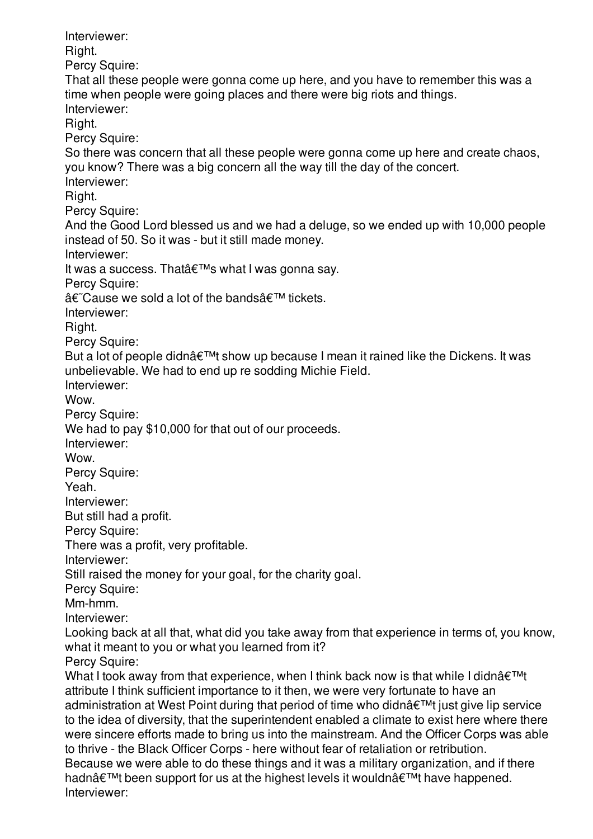Interviewer: Right. Percy Squire: That all these people were gonna come up here, and you have to remember this was a time when people were going places and there were big riots and things. Interviewer: Right. Percy Squire: So there was concern that all these people were gonna come up here and create chaos, you know? There was a big concern all the way till the day of the concert. Interviewer: Right. Percy Squire: And the Good Lord blessed us and we had a deluge, so we ended up with 10,000 people instead of 50. So it was - but it still made money. Interviewer: It was a success. That  $\hat{\mathbf{a}} \in \mathbb{M}$ s what I was gonna say. Percy Squire:  $\hat{\mathbf{a}} \in \mathbb{C}$  ause we sold a lot of the bands $\hat{\mathbf{a}} \in \mathbb{C}^{\mathsf{M}}$  tickets. Interviewer: Right. Percy Squire: But a lot of people didn $\hat{\mathbf{a}} \in \mathbb{M}$  show up because I mean it rained like the Dickens. It was unbelievable. We had to end up re sodding Michie Field. Interviewer: Wow. Percy Squire: We had to pay \$10,000 for that out of our proceeds. Interviewer: Wow. Percy Squire: Yeah. Interviewer: But still had a profit. Percy Squire: There was a profit, very profitable. Interviewer: Still raised the money for your goal, for the charity goal. Percy Squire: Mm-hmm. Interviewer: Looking back at all that, what did you take away from that experience in terms of, you know, what it meant to you or what you learned from it? Percy Squire: What I took away from that experience, when I think back now is that while I didn $\hat{a} \in TM$ attribute I think sufficient importance to it then, we were very fortunate to have an administration at West Point during that period of time who didn't just give lip service to the idea of diversity, that the superintendent enabled a climate to exist here where there were sincere efforts made to bring us into the mainstream. And the Officer Corps was able to thrive - the Black Officer Corps - here without fear of retaliation or retribution. Because we were able to do these things and it was a military organization, and if there hadn $\hat{\mathbf{a}} \in \mathbb{M}$  been support for us at the highest levels it wouldn $\hat{\mathbf{a}} \in \mathbb{M}$  have happened. Interviewer: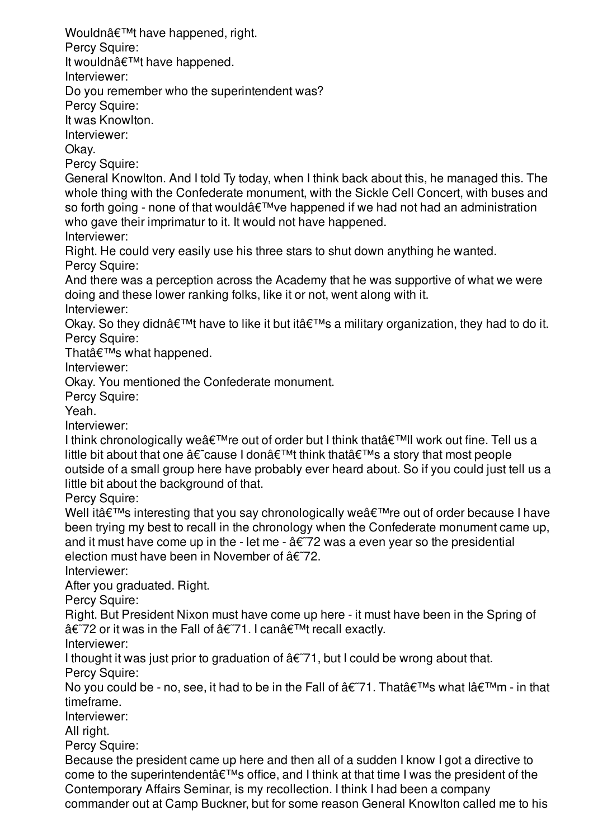Wouldn't have happened, right.

Percy Squire:

It wouldn't have happened.

Interviewer:

Do you remember who the superintendent was?

Percy Squire:

It was Knowlton.

Interviewer:

Okay.

Percy Squire:

General Knowlton. And I told Ty today, when I think back about this, he managed this. The whole thing with the Confederate monument, with the Sickle Cell Concert, with buses and so forth going - none of that would  $\hat{\mathbf{a}} \in \mathbb{M}$  ve happened if we had not had an administration who gave their imprimatur to it. It would not have happened.

Interviewer:

Right. He could very easily use his three stars to shut down anything he wanted. Percy Squire:

And there was a perception across the Academy that he was supportive of what we were doing and these lower ranking folks, like it or not, went along with it.

Interviewer:

Okay. So they didn't have to like it but it's a military organization, they had to do it. Percy Squire:

That's what happened.

Interviewer:

Okay. You mentioned the Confederate monument.

Percy Squire:

Yeah.

Interviewer:

I think chronologically we  $\hat{\mathbf{a}} \in \mathbb{M}$  re out of order but I think that  $\hat{\mathbf{a}} \in \mathbb{M}$  work out fine. Tell us a little bit about that one  $\hat{a}\in \tilde{c}$  cause I don $\hat{a}\in \tilde{c}^{\text{IM}}$  think that $\hat{a}\in \tilde{c}^{\text{IM}}$ s a story that most people outside of a small group here have probably ever heard about. So if you could just tell us a little bit about the background of that.

Percy Squire:

Well it $\hat{a} \in \mathbb{M}$ s interesting that you say chronologically we $\hat{a} \in \mathbb{M}$ re out of order because I have been trying my best to recall in the chronology when the Confederate monument came up, and it must have come up in the - let me -  $\hat{a}\hat{\epsilon}$  72 was a even year so the presidential election must have been in November of  $\hat{a} \in 72$ .

Interviewer:

After you graduated. Right.

Percy Squire:

Right. But President Nixon must have come up here - it must have been in the Spring of  $\hat{a}\hat{\epsilon}$  72 or it was in the Fall of  $\hat{a}\hat{\epsilon}$  71. I can $\hat{a}\hat{\epsilon}$  Mt recall exactly.

Interviewer:

I thought it was just prior to graduation of  $\hat{\alpha} \in \{71, \text{but } I \}$  could be wrong about that. Percy Squire:

No you could be - no, see, it had to be in the Fall of  $\hat{\mathbf{a}} \in \mathbb{C}$ 71. That $\hat{\mathbf{a}} \in \mathbb{C}^{\mathsf{M}}$  what  $\hat{\mathbf{a}} \in \mathbb{C}^{\mathsf{M}}$  - in that timeframe.

Interviewer:

All right.

Percy Squire:

Because the president came up here and then all of a sudden I know I got a directive to come to the superintendent  $\hat{\mathbf{a}} \in \mathbb{M}$ s office, and I think at that time I was the president of the Contemporary Affairs Seminar, is my recollection. I think I had been a company commander out at Camp Buckner, but for some reason General Knowlton called me to his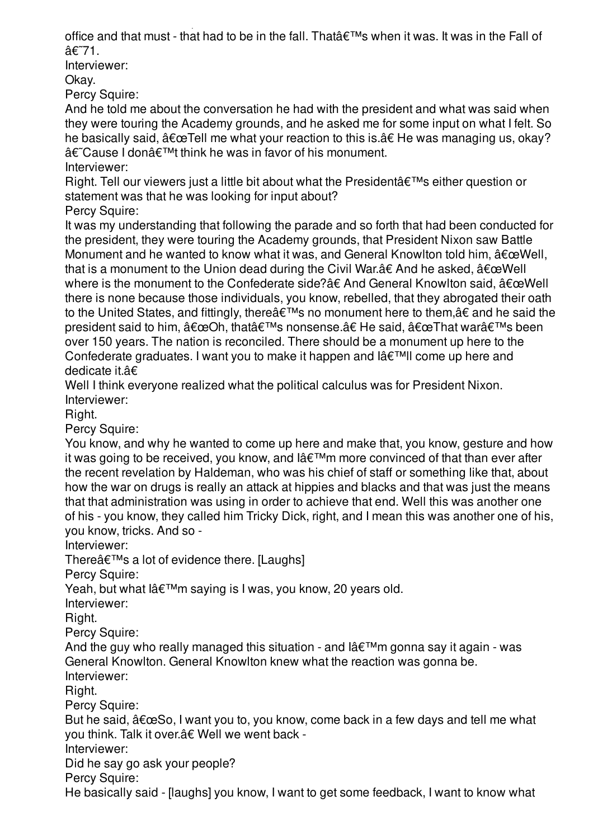commander out at Camp Buckner, but for some reason General Knowlton called me to his office and that must - that had to be in the fall. That $\hat{a} \in \mathbb{M}$ s when it was. It was in the Fall of â€~71.

Interviewer:

Okay.

Percy Squire:

And he told me about the conversation he had with the president and what was said when they were touring the Academy grounds, and he asked me for some input on what I felt. So he basically said,  $"Tell me what your reaction to this is.†He was manacina us, okav?$  $\hat{a} \in \mathbb{C}$  ause I don $\hat{a} \in \mathbb{M}$  think he was in favor of his monument.

Interviewer:

Right. Tell our viewers just a little bit about what the President  $\hat{\mathbf{z}}^{\text{TM}}$ s either question or statement was that he was looking for input about?

Percy Squire:

It was my understanding that following the parade and so forth that had been conducted for the president, they were touring the Academy grounds, that President Nixon saw Battle Monument and he wanted to know what it was, and General Knowlton told him,  $\hat{a} \in \text{c} \cup \text{Well}$ , that is a monument to the Union dead during the Civil War. $\hat{a}\in A$ nd he asked,  $\hat{a}\in A$ ceWell where is the monument to the Confederate side?†And General Knowlton said, "Well there is none because those individuals, you know, rebelled, that they abrogated their oath to the United States, and fittingly, there's no monument here to them,†and he said the president said to him,  $\hat{a} \in \text{ceOh}$ , that $\hat{a} \in \text{T}^M$ s nonsense. $\hat{a} \in \text{He}$  said,  $\hat{a} \in \text{ceThat}$  war $\hat{a} \in \text{T}^M$ s been over 150 years. The nation is reconciled. There should be a monument up here to the Confederate graduates. I want you to make it happen and  $I\hat{a} \in T^M$ II come up here and dedicate it.â€

Well I think everyone realized what the political calculus was for President Nixon. Interviewer:

Right.

Percy Squire:

You know, and why he wanted to come up here and make that, you know, gesture and how it was going to be received, you know, and  $\hat{a} \in \mathbb{M}$ m more convinced of that than ever after the recent revelation by Haldeman, who was his chief of staff or something like that, about how the war on drugs is really an attack at hippies and blacks and that was just the means that that administration was using in order to achieve that end. Well this was another one of his - you know, they called him Tricky Dick, right, and I mean this was another one of his, you know, tricks. And so -

Interviewer:

There $\hat{\mathbf{a}} \in \mathbb{M}$ s a lot of evidence there. [Laughs]

Percy Squire:

Yeah, but what lâ $\epsilon \text{Im}$ m saying is I was, you know, 20 years old.

Interviewer:

Right.

Percy Squire:

And the guy who really managed this situation - and  $\hat{a} \in \mathbb{M}$ m gonna say it again - was General Knowlton. General Knowlton knew what the reaction was gonna be. Interviewer:

Right.

Percy Squire:

But he said,  $\hat{a} \in \mathbb{S}$ o, I want you to, you know, come back in a few days and tell me what you think. Talk it over.â€ Well we went back -

Interviewer:

Did he say go ask your people?

Percy Squire:

He basically said - [laughs] you know, I want to get some feedback, I want to know what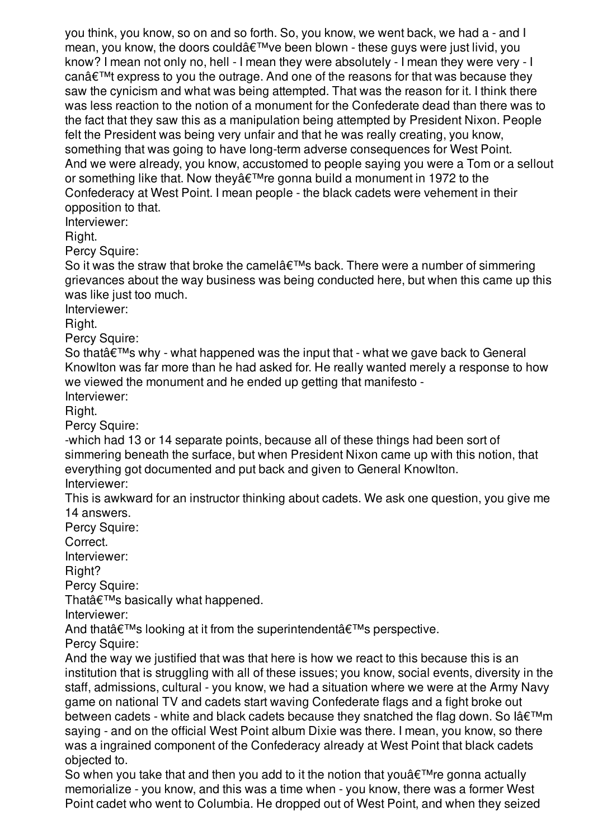you think, you know, so on and so forth. So, you know, we went back, we had a - and I mean, you know, the doors could've been blown - these guys were just livid, you know? I mean not only no, hell - I mean they were absolutely - I mean they were very - I can $\hat{\mathbf{\alpha}} \in \mathbb{R}^{m}$  express to you the outrage. And one of the reasons for that was because they saw the cynicism and what was being attempted. That was the reason for it. I think there was less reaction to the notion of a monument for the Confederate dead than there was to the fact that they saw this as a manipulation being attempted by President Nixon. People felt the President was being very unfair and that he was really creating, you know, something that was going to have long-term adverse consequences for West Point. And we were already, you know, accustomed to people saying you were a Tom or a sellout or something like that. Now they  $\hat{\mathbf{a}} \in \mathbb{R}^{n}$  re gonna build a monument in 1972 to the Confederacy at West Point. I mean people - the black cadets were vehement in their opposition to that.

Interviewer:

Right.

Percy Squire:

So it was the straw that broke the camel  $\hat{\alpha} \in \mathbb{N}$  back. There were a number of simmering grievances about the way business was being conducted here, but when this came up this was like just too much.

Interviewer:

Right.

Percy Squire:

So that  $\hat{\theta} \in \mathbb{M}$  why - what happened was the input that - what we gave back to General Knowlton was far more than he had asked for. He really wanted merely a response to how we viewed the monument and he ended up getting that manifesto - Interviewer:

Right.

Percy Squire:

-which had 13 or 14 separate points, because all of these things had been sort of simmering beneath the surface, but when President Nixon came up with this notion, that everything got documented and put back and given to General Knowlton. Interviewer:

This is awkward for an instructor thinking about cadets. We ask one question, you give me 14 answers.

Percy Squire:

Correct.

Interviewer:

Right?

Percy Squire:

That $\hat{a} \in \mathbb{M}$ s basically what happened.

Interviewer:

And that  $\hat{\mathbf{a}} \in \mathbb{M}$  looking at it from the superintendent  $\hat{\mathbf{a}} \in \mathbb{M}$ s perspective.

Percy Squire:

And the way we justified that was that here is how we react to this because this is an institution that is struggling with all of these issues; you know, social events, diversity in the staff, admissions, cultural - you know, we had a situation where we were at the Army Navy game on national TV and cadets start waving Confederate flags and a fight broke out between cadets - white and black cadets because they snatched the flag down. So lâ $\epsilon^{\text{TM}}$ m saying - and on the official West Point album Dixie was there. I mean, you know, so there was a ingrained component of the Confederacy already at West Point that black cadets objected to.

So when you take that and then you add to it the notion that you  $\hat{\mathbf{z}}^{\text{TM}}$  regonna actually memorialize - you know, and this was a time when - you know, there was a former West Point cadet who went to Columbia. He dropped out of West Point, and when they seized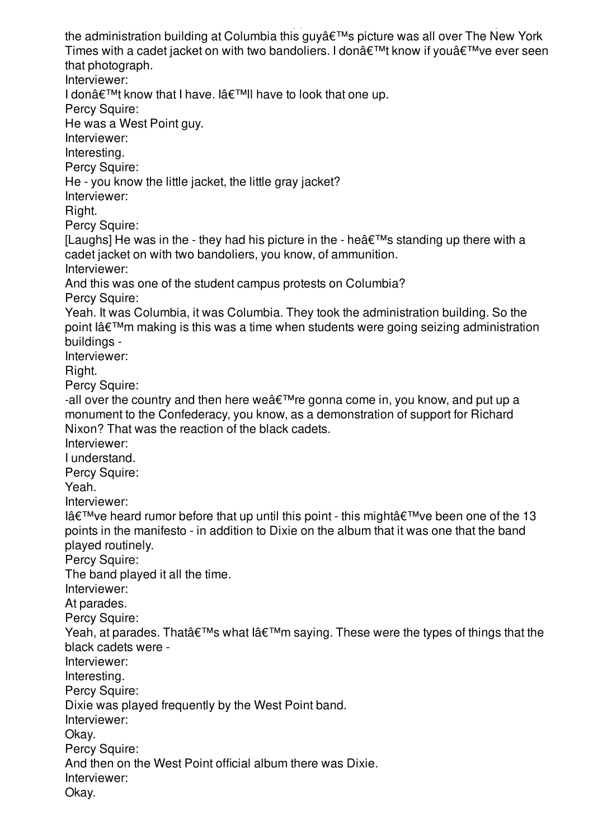Point cadet who went to Columbia. He dropped out of West Point, and when they seized the administration building at Columbia this guy  $\hat{\mathbf{z}}^{\text{TM}}$ s picture was all over The New York Times with a cadet jacket on with two bandoliers. I don $\hat{\mathbf{a}} \in \mathbb{M}$  know if you $\hat{\mathbf{a}} \in \mathbb{M}$  ve ever seen that photograph. Interviewer: I don't know that I have. I'II have to look that one up. Percy Squire: He was a West Point guy. Interviewer: Interesting. Percy Squire: He - you know the little jacket, the little gray jacket? Interviewer: Right. Percy Squire: [Laughs] He was in the - they had his picture in the - he  $\hat{\mathbf{a}} \in \mathbb{M}$ s standing up there with a cadet jacket on with two bandoliers, you know, of ammunition. Interviewer: And this was one of the student campus protests on Columbia? Percy Squire: Yeah. It was Columbia, it was Columbia. They took the administration building. So the point  $\hat{a} \in \mathbb{M}$ m making is this was a time when students were going seizing administration buildings - Interviewer: Right. Percy Squire: -all over the country and then here we  $\hat{\mathbf{a}} \in \mathbb{R}^{T M}$  re gonna come in, you know, and put up a monument to the Confederacy, you know, as a demonstration of support for Richard Nixon? That was the reaction of the black cadets. Interviewer: I understand. Percy Squire: Yeah. Interviewer:  $I\hat{a} \in I^M$ ve heard rumor before that up until this point - this might $\hat{a} \in I^M$ ve been one of the 13 points in the manifesto - in addition to Dixie on the album that it was one that the band played routinely. Percy Squire: The band played it all the time. Interviewer: At parades. Percy Squire: Yeah, at parades. That  $\hat{\theta} \in \mathbb{M}$  what  $\hat{\theta} \in \mathbb{M}$ m saying. These were the types of things that the black cadets were - Interviewer: Interesting. Percy Squire: Dixie was played frequently by the West Point band. Interviewer: Okay. Percy Squire: And then on the West Point official album there was Dixie. Interviewer: Okay.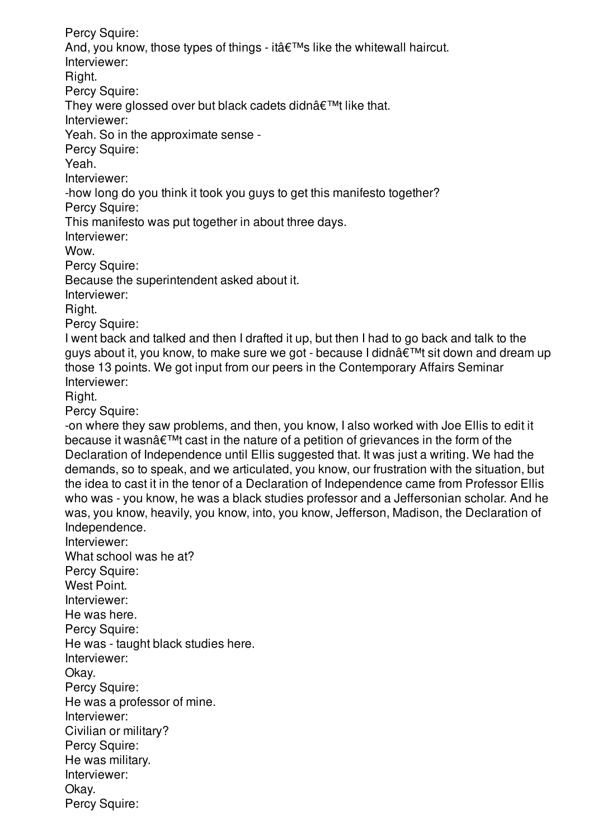Percy Squire:

And, you know, those types of things - it  $\hat{\mathbf{a}} \in \mathbb{M}$ s like the whitewall haircut.

Interviewer:

Right.

Percy Squire:

They were glossed over but black cadets didn $\hat{a} \in \mathbb{M}$ t like that.

Interviewer:

Yeah. So in the approximate sense -

Percy Squire:

Yeah.

Interviewer:

-how long do you think it took you guys to get this manifesto together?

Percy Squire:

This manifesto was put together in about three days.

Interviewer:

Wow.

Percy Squire:

Because the superintendent asked about it.

Interviewer:

Right.

Percy Squire:

I went back and talked and then I drafted it up, but then I had to go back and talk to the guys about it, you know, to make sure we got - because I didnâ $\epsilon$ <sup>TM</sup>t sit down and dream up those 13 points. We got input from our peers in the Contemporary Affairs Seminar Interviewer:

Right.

Percy Squire:

-on where they saw problems, and then, you know, I also worked with Joe Ellis to edit it because it wasn $\hat{a} \in \mathbb{M}$  cast in the nature of a petition of grievances in the form of the Declaration of Independence until Ellis suggested that. It was just a writing. We had the demands, so to speak, and we articulated, you know, our frustration with the situation, but the idea to cast it in the tenor of a Declaration of Independence came from Professor Ellis who was - you know, he was a black studies professor and a Jeffersonian scholar. And he was, you know, heavily, you know, into, you know, Jefferson, Madison, the Declaration of Independence.

Interviewer:

What school was he at?

Percy Squire: West Point.

Interviewer:

He was here.

Percy Squire:

He was - taught black studies here.

Interviewer:

Okay.

Percy Squire:

He was a professor of mine.

Interviewer:

Civilian or military?

Percy Squire: He was military.

Interviewer:

Okay.

Percy Squire: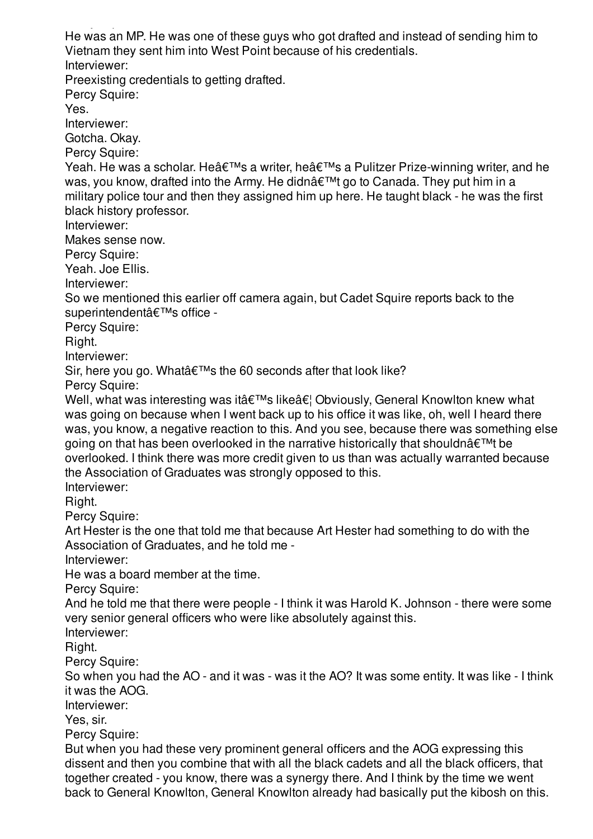Percy Squire: He was an MP. He was one of these guys who got drafted and instead of sending him to Vietnam they sent him into West Point because of his credentials.

Interviewer:

Preexisting credentials to getting drafted.

Percy Squire:

Yes.

Interviewer:

Gotcha. Okay.

Percy Squire:

Yeah. He was a scholar. He's a writer, he's a Pulitzer Prize-winning writer, and he was, you know, drafted into the Army. He didn't go to Canada. They put him in a military police tour and then they assigned him up here. He taught black - he was the first black history professor.

Interviewer:

Makes sense now.

Percy Squire:

Yeah. Joe Ellis.

Interviewer:

So we mentioned this earlier off camera again, but Cadet Squire reports back to the superintendent's office -

Percy Squire:

Right.

Interviewer:

Sir, here you go. What $\hat{\mathbf{a}} \in \mathbb{R}^{T}$  the 60 seconds after that look like?

Percy Squire:

Well, what was interesting was itâ $\epsilon$ <sup>TM</sup>s like  $\hat{\epsilon}$  Obviously, General Knowlton knew what was going on because when I went back up to his office it was like, oh, well I heard there was, you know, a negative reaction to this. And you see, because there was something else going on that has been overlooked in the narrative historically that shouldn $\hat{a} \in \mathbb{M}$ t be overlooked. I think there was more credit given to us than was actually warranted because the Association of Graduates was strongly opposed to this.

Interviewer:

Right.

Percy Squire:

Art Hester is the one that told me that because Art Hester had something to do with the Association of Graduates, and he told me -

Interviewer:

He was a board member at the time.

Percy Squire:

And he told me that there were people - I think it was Harold K. Johnson - there were some very senior general officers who were like absolutely against this.

Interviewer:

Right.

Percy Squire:

So when you had the AO - and it was - was it the AO? It was some entity. It was like - I think it was the AOG.

Interviewer:

Yes, sir.

Percy Squire:

But when you had these very prominent general officers and the AOG expressing this dissent and then you combine that with all the black cadets and all the black officers, that together created - you know, there was a synergy there. And I think by the time we went back to General Knowlton, General Knowlton already had basically put the kibosh on this.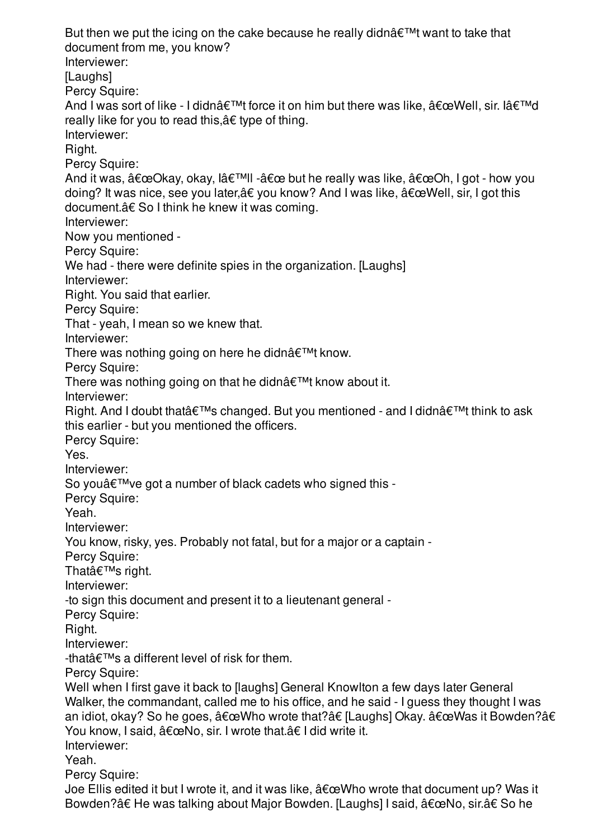But then we put the icing on the cake because he really didn $\hat{\alpha} \in \mathbb{M}$  want to take that document from me, you know? Interviewer: [Laughs] Percy Squire: And I was sort of like - I didn $\hat{a} \in \mathbb{M}$ t force it on him but there was like,  $\hat{a} \in \mathbb{C}$ Well, sir. I $\hat{a} \in \mathbb{M}$ d really like for you to read this,â€ type of thing. Interviewer: Right. Percy Squire: And it was,  $\hat{a} \in \Omega$  okay,  $\hat{a} \in \mathbb{N}$ ll - $\hat{a} \in \Omega$  but he really was like,  $\hat{a} \in \Omega$ Oh, I got - how you doing? It was nice, see you later, a€ you know? And I was like,  $\hat{a} \in \text{ceWell}$ , sir, I got this document.â€ So I think he knew it was coming. Interviewer: Now you mentioned - Percy Squire: We had - there were definite spies in the organization. [Laughs] Interviewer: Right. You said that earlier. Percy Squire: That - yeah, I mean so we knew that. Interviewer: There was nothing going on here he didn $\hat{\mathbf{\alpha}} \in \mathbb{M}$ t know. Percy Squire: There was nothing going on that he didn $\hat{\mathbf{\alpha}} \in \mathbb{M}$ t know about it. Interviewer: Right. And I doubt that  $\hat{\theta} \in \mathbb{M}$ s changed. But you mentioned - and I didn $\hat{\theta} \in \mathbb{M}$ t think to ask this earlier - but you mentioned the officers. Percy Squire: Yes. Interviewer: So you $\hat{a} \in \mathbb{M}$  ve got a number of black cadets who signed this -Percy Squire: Yeah. Interviewer: You know, risky, yes. Probably not fatal, but for a major or a captain - Percy Squire: That's right. Interviewer: -to sign this document and present it to a lieutenant general - Percy Squire: Right. Interviewer:  $-t$ hatâ $\epsilon^{TM}$ s a different level of risk for them. Percy Squire: Well when I first gave it back to [laughs] General Knowlton a few days later General Walker, the commandant, called me to his office, and he said - I guess they thought I was an idiot, okay? So he goes, "Who wrote that?†[Laughs] Okay. "Was it Bowden?â€ You know, I said,  $"No$ , sir. I wrote that.†I did write it. Interviewer: Yeah. Percy Squire: Joe Ellis edited it but I wrote it, and it was like,  $\hat{a} \in \mathbb{C}$ Who wrote that document up? Was it Bowden?†He was talking about Major Bowden. [Laughs] I said, "No, sir.†So he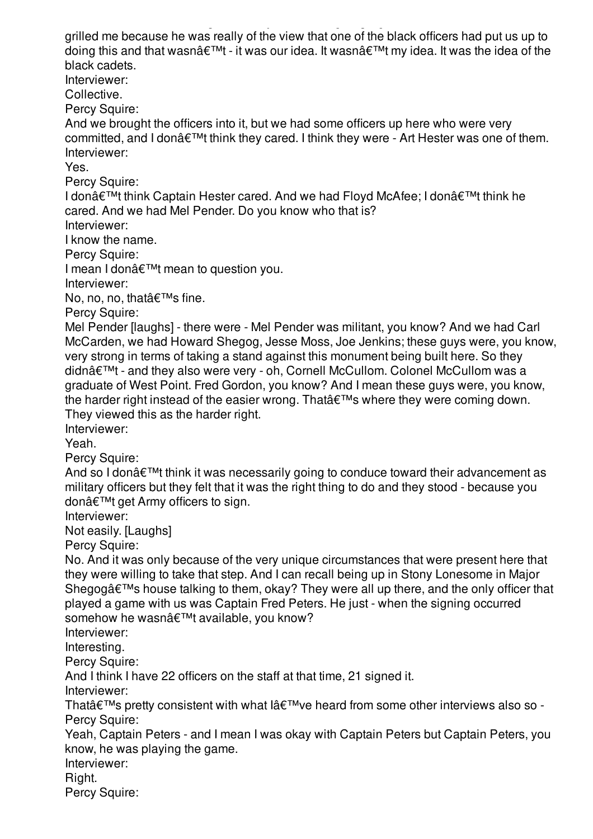Bowden?〠He was talking about Major Bowden. [Laughs] I said, "No, sir.†So he was talking about Major Bowden.<br>De said, "No, sir.†So he was talking about Major Bowden. [Laughs] I said, "No, sir.†So he was talking abo grilled me because he was really of the view that one of the black officers had put us up to doing this and that wasn $\hat{a} \in T^M t$  - it was our idea. It wasn $\hat{a} \in T^M t$  my idea. It was the idea of the black cadets.

Interviewer:

Collective.

Percy Squire:

And we brought the officers into it, but we had some officers up here who were very committed, and I don $\hat{\mathcal{A}} \in \mathbb{M}$  think they cared. I think they were - Art Hester was one of them. Interviewer:

Yes.

Percy Squire:

I don't think Captain Hester cared. And we had Floyd McAfee; I don't think he cared. And we had Mel Pender. Do you know who that is?

Interviewer:

I know the name.

Percy Squire:

I mean I don $\hat{\mathbf{a}} \in \mathbb{M}$ t mean to question you.

Interviewer:

No, no, no, that's fine.

Percy Squire:

Mel Pender [laughs] - there were - Mel Pender was militant, you know? And we had Carl McCarden, we had Howard Shegog, Jesse Moss, Joe Jenkins; these guys were, you know, very strong in terms of taking a stand against this monument being built here. So they didnâ€<sup>™</sup>t - and they also were very - oh, Cornell McCullom. Colonel McCullom was a graduate of West Point. Fred Gordon, you know? And I mean these guys were, you know, the harder right instead of the easier wrong. That  $\hat{\mathbf{a}} \in \mathbb{M}$ s where they were coming down. They viewed this as the harder right.

Interviewer:

Yeah.

Percy Squire:

And so I don $\hat{\mathbf{a}} \in \mathbb{M}$  think it was necessarily going to conduce toward their advancement as military officers but they felt that it was the right thing to do and they stood - because you donâ€<sup>™†</sup> get Army officers to sign.

Interviewer:

Not easily. [Laughs]

Percy Squire:

No. And it was only because of the very unique circumstances that were present here that they were willing to take that step. And I can recall being up in Stony Lonesome in Major Shegog $\hat{\mathcal{A}} \in \mathbb{M}$ s house talking to them, okay? They were all up there, and the only officer that played a game with us was Captain Fred Peters. He just - when the signing occurred somehow he wasn't available, you know?

Interviewer:

Interesting.

Percy Squire:

And I think I have 22 officers on the staff at that time, 21 signed it.

Interviewer:

That $\hat{a} \in \mathbb{M}$ s pretty consistent with what  $\hat{a} \in \mathbb{M}$ ve heard from some other interviews also so -Percy Squire:

Yeah, Captain Peters - and I mean I was okay with Captain Peters but Captain Peters, you know, he was playing the game.

Interviewer:

Right.

Percy Squire: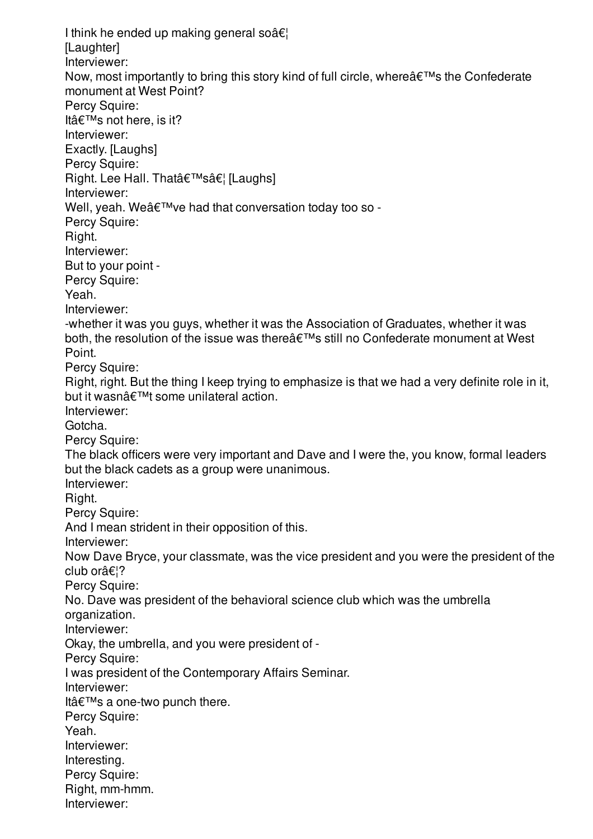I think he ended up making general so $\hat{a}\hat{\epsilon}$ [Laughter] Interviewer: Now, most importantly to bring this story kind of full circle, where  $\hat{\mathbf{a}} \in \mathbb{M}$ s the Confederate monument at West Point? Percy Squire: It's not here, is it? Interviewer: Exactly. [Laughs] Percy Squire: Right. Lee Hall. That's… [Laughs] Interviewer: Well, yeah. We've had that conversation today too so -Percy Squire: Right. Interviewer: But to your point - Percy Squire: Yeah. Interviewer: -whether it was you guys, whether it was the Association of Graduates, whether it was both, the resolution of the issue was there $\hat{a} \in T^{M}$ s still no Confederate monument at West Point. Percy Squire: Right, right. But the thing I keep trying to emphasize is that we had a very definite role in it, but it wasn $\hat{\mathbf{a}} \in \mathbb{M}$ t some unilateral action. Interviewer: Gotcha. Percy Squire: The black officers were very important and Dave and I were the, you know, formal leaders but the black cadets as a group were unanimous. Interviewer: Right. Percy Squire: And I mean strident in their opposition of this. Interviewer: Now Dave Bryce, your classmate, was the vice president and you were the president of the club or $\hat{\mathsf{a}} \in \{?$ Percy Squire: No. Dave was president of the behavioral science club which was the umbrella organization. Interviewer: Okay, the umbrella, and you were president of - Percy Squire: I was president of the Contemporary Affairs Seminar. Interviewer: It's a one-two punch there. Percy Squire: Yeah. Interviewer: Interesting. Percy Squire: Right, mm-hmm. Interviewer: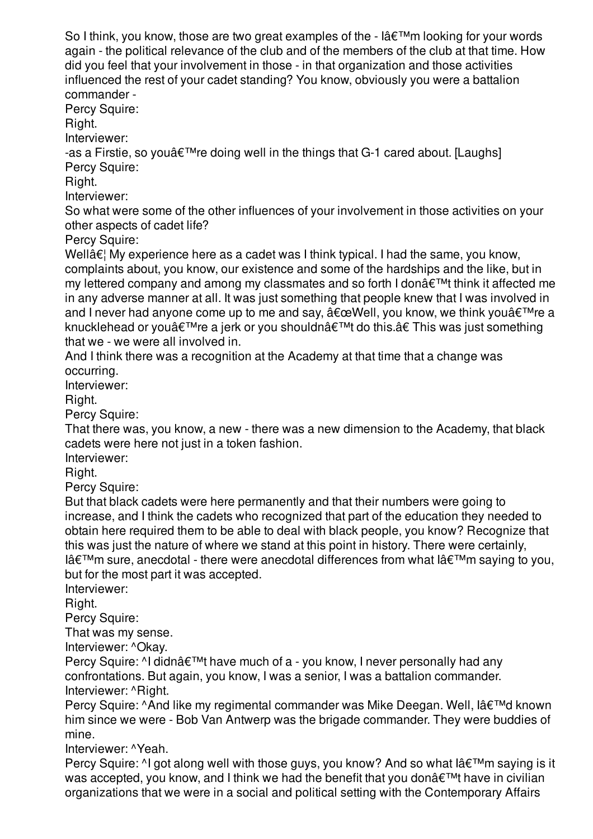So I think, you know, those are two great examples of the -  $I\hat{A} \in \mathbb{T}^{M}$ m looking for your words again - the political relevance of the club and of the members of the club at that time. How did you feel that your involvement in those - in that organization and those activities influenced the rest of your cadet standing? You know, obviously you were a battalion commander -

Percy Squire:

Right.

Interviewer:

-as a Firstie, so you  $\hat{\epsilon}^{\text{TM}}$ re doing well in the things that G-1 cared about. [Laughs] Percy Squire:

Right.

Interviewer:

So what were some of the other influences of your involvement in those activities on your other aspects of cadet life?

Percy Squire:

Well $\hat{a} \in \mathcal{H}$  My experience here as a cadet was I think typical. I had the same, you know, complaints about, you know, our existence and some of the hardships and the like, but in my lettered company and among my classmates and so forth I don $\hat{a} \in \mathbb{M}$ t think it affected me in any adverse manner at all. It was just something that people knew that I was involved in and I never had anyone come up to me and say, "Well, you know, we think you're a knucklehead or youâ€<sup>™</sup>re a jerk or you shouldn't do this.†This was just something that we - we were all involved in.

And I think there was a recognition at the Academy at that time that a change was occurring.

Interviewer:

Right.

Percy Squire:

That there was, you know, a new - there was a new dimension to the Academy, that black cadets were here not just in a token fashion.

Interviewer:

Right.

Percy Squire:

But that black cadets were here permanently and that their numbers were going to increase, and I think the cadets who recognized that part of the education they needed to obtain here required them to be able to deal with black people, you know? Recognize that this was just the nature of where we stand at this point in history. There were certainly, Iâ€<sup>™</sup>m sure, anecdotal - there were anecdotal differences from what I'm saying to you, but for the most part it was accepted.

Interviewer:

Right.

Percy Squire:

That was my sense.

Interviewer: ^Okay.

Percy Squire: ^I didn't have much of a - you know, I never personally had any confrontations. But again, you know, I was a senior, I was a battalion commander. Interviewer: ^Right.

Percy Squire: ^And like my regimental commander was Mike Deegan, Well, Iâ€<sup>™</sup>d known him since we were - Bob Van Antwerp was the brigade commander. They were buddies of mine.

Interviewer: ^Yeah.

Percy Squire: ^I got along well with those guys, you know? And so what l'm saying is it was accepted, you know, and I think we had the benefit that you don $\hat{\mathbf{a}} \in \mathbb{M}$ t have in civilian organizations that we were in a social and political setting with the Contemporary Affairs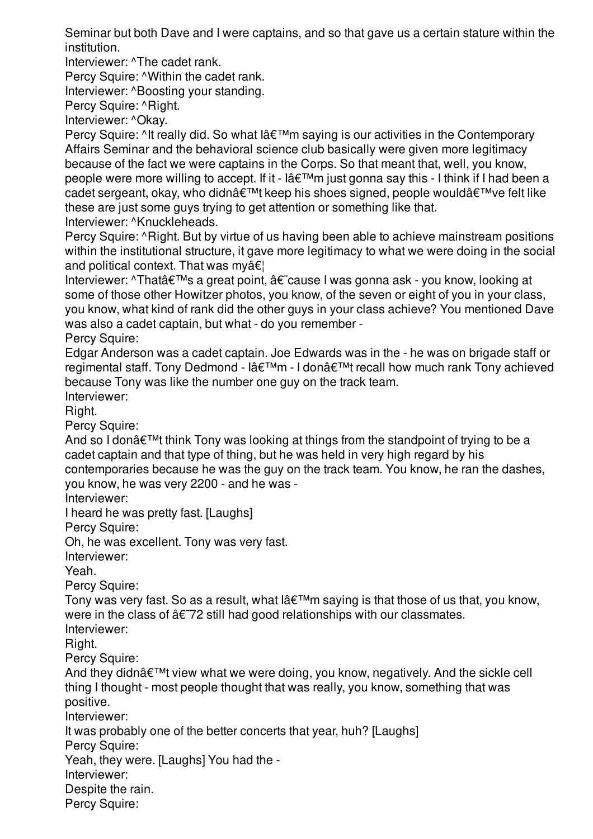Seminar but both Dave and I were captains, and so that gave us a certain stature within the institution.

Interviewer: ^The cadet rank.

Percy Squire: ^Within the cadet rank.

Interviewer: ^Boosting your standing.

Percy Squire:  $^{\wedge}$ Right.

Interviewer: ^Okay.

Percy Squire:  $\lambda$ It really did. So what  $\lambda \in \mathbb{N}$ m saying is our activities in the Contemporary Affairs Seminar and the behavioral science club basically were given more legitimacy because of the fact we were captains in the Corps. So that meant that, well, you know, people were more willing to accept. If it -  $I\hat{a} \in \mathbb{M}$ m just gonna say this - I think if I had been a cadet sergeant, okay, who didn't keep his shoes signed, people would've felt like these are just some guys trying to get attention or something like that. Interviewer: ^Knuckleheads.

Percy Squire: ^Right. But by virtue of us having been able to achieve mainstream positions within the institutional structure, it gave more legitimacy to what we were doing in the social and political context. That was my $\hat{a}\hat{\epsilon}$ 

Interviewer: ^That's a great point, â€~cause I was gonna ask - you know, looking at some of those other Howitzer photos, you know, of the seven or eight of you in your class, you know, what kind of rank did the other guys in your class achieve? You mentioned Dave was also a cadet captain, but what - do you remember -

Percy Squire:

Edgar Anderson was a cadet captain. Joe Edwards was in the - he was on brigade staff or regimental staff. Tony Dedmond - l'm - I don't recall how much rank Tony achieved because Tony was like the number one guy on the track team.

Interviewer:

Right.

Percy Squire:

And so I don $\hat{\mathfrak{a}} \in \mathbb{M}$  think Tony was looking at things from the standpoint of trying to be a cadet captain and that type of thing, but he was held in very high regard by his contemporaries because he was the guy on the track team. You know, he ran the dashes, you know, he was very 2200 - and he was -

Interviewer:

I heard he was pretty fast. [Laughs]

Percy Squire:

Oh, he was excellent. Tony was very fast.

Interviewer:

Yeah.

Percy Squire:

Tony was very fast. So as a result, what  $I\hat{a} \in \mathbb{M}$ m saying is that those of us that, you know, were in the class of  $\hat{a} \in 72$  still had good relationships with our classmates. Interviewer:

Right.

Percy Squire:

And they didn $\hat{a} \in \mathbb{M}$  view what we were doing, you know, negatively. And the sickle cell thing I thought - most people thought that was really, you know, something that was positive.

Interviewer:

It was probably one of the better concerts that year, huh? [Laughs]

Percy Squire:

Yeah, they were. [Laughs] You had the -

Interviewer:

Despite the rain.

Percy Squire: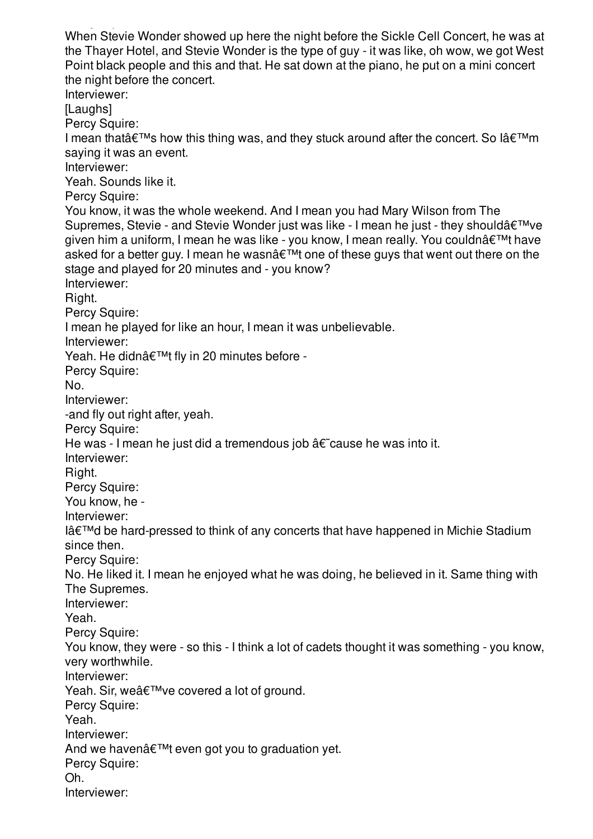Percy Squire: When Stevie Wonder showed up here the night before the Sickle Cell Concert, he was at the Thayer Hotel, and Stevie Wonder is the type of guy - it was like, oh wow, we got West Point black people and this and that. He sat down at the piano, he put on a mini concert the night before the concert. Interviewer: [Laughs] Percy Squire: I mean that  $\hat{\theta} \in \mathbb{M}$  how this thing was, and they stuck around after the concert. So  $\hat{\theta} \in \mathbb{M}$ m saying it was an event. Interviewer: Yeah. Sounds like it. Percy Squire: You know, it was the whole weekend. And I mean you had Mary Wilson from The Supremes, Stevie - and Stevie Wonder just was like - I mean he just - they should  $\hat{\epsilon}^{\text{TM}}$ ve given him a uniform, I mean he was like - you know, I mean really. You couldn $\hat{\mathbf{a}} \in \mathbb{M}$ t have asked for a better guy. I mean he wasn't one of these guys that went out there on the stage and played for 20 minutes and - you know? Interviewer: Right. Percy Squire: I mean he played for like an hour, I mean it was unbelievable. Interviewer: Yeah. He didn't fly in 20 minutes before -Percy Squire: No. Interviewer: -and fly out right after, yeah. Percy Squire: He was - I mean he just did a tremendous job  $\hat{a} \in \tilde{c}$  cause he was into it. Interviewer: Right. Percy Squire: You know, he - Interviewer:  $I\hat{a}\in\mathbb{T}^{M}$ d be hard-pressed to think of any concerts that have happened in Michie Stadium since then. Percy Squire: No. He liked it. I mean he enjoyed what he was doing, he believed in it. Same thing with The Supremes. Interviewer: Yeah. Percy Squire: You know, they were - so this - I think a lot of cadets thought it was something - you know, very worthwhile. Interviewer: Yeah. Sir, we've covered a lot of ground. Percy Squire: Yeah. Interviewer: And we haven $\hat{a} \in \mathbb{M}$ t even got you to graduation yet. Percy Squire: Oh. Interviewer: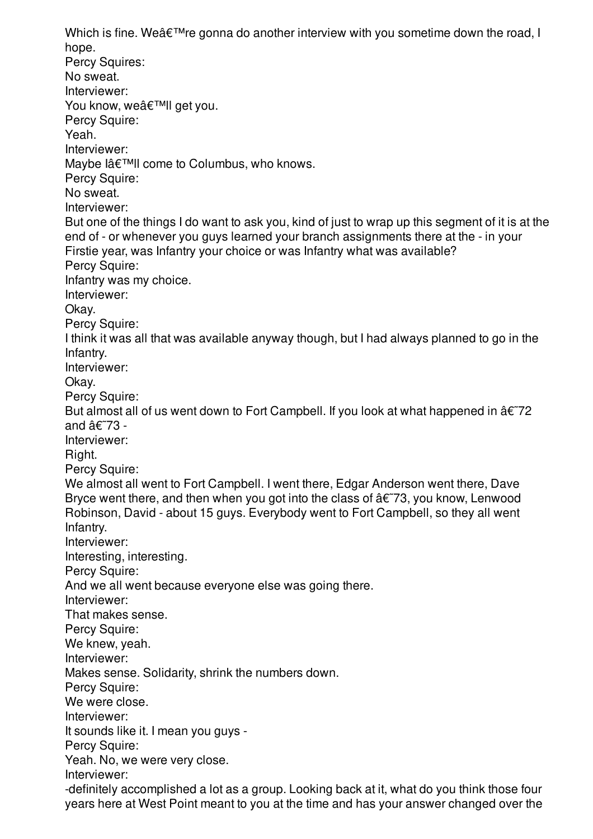Which is fine. We  $\hat{\mathbf{a}} \in \mathbb{R}^{m}$  regonna do another interview with you sometime down the road, I hope. Percy Squires: No sweat. Interviewer: You know, we'll get you. Percy Squire: Yeah. Interviewer: Maybe l'II come to Columbus, who knows. Percy Squire: No sweat. Interviewer: But one of the things I do want to ask you, kind of just to wrap up this segment of it is at the end of - or whenever you guys learned your branch assignments there at the - in your Firstie year, was Infantry your choice or was Infantry what was available? Percy Squire: Infantry was my choice. Interviewer: Okay. Percy Squire: I think it was all that was available anyway though, but I had always planned to go in the Infantry. Interviewer: Okay. Percy Squire: But almost all of us went down to Fort Campbell. If you look at what happened in  $\hat{a}\hat{\epsilon}$  72 and  $\hat{a}\hat{\epsilon}$  73 -Interviewer: Right. Percy Squire: We almost all went to Fort Campbell. I went there, Edgar Anderson went there, Dave Bryce went there, and then when you got into the class of  $\hat{\alpha} \in \{73, y$ ou know, Lenwood Robinson, David - about 15 guys. Everybody went to Fort Campbell, so they all went Infantry. Interviewer: Interesting, interesting. Percy Squire: And we all went because everyone else was going there. Interviewer: That makes sense. Percy Squire: We knew, yeah. Interviewer: Makes sense. Solidarity, shrink the numbers down. Percy Squire: We were close. Interviewer: It sounds like it. I mean you guys - Percy Squire: Yeah. No, we were very close. Interviewer: -definitely accomplished a lot as a group. Looking back at it, what do you think those four years here at West Point meant to you at the time and has your answer changed over the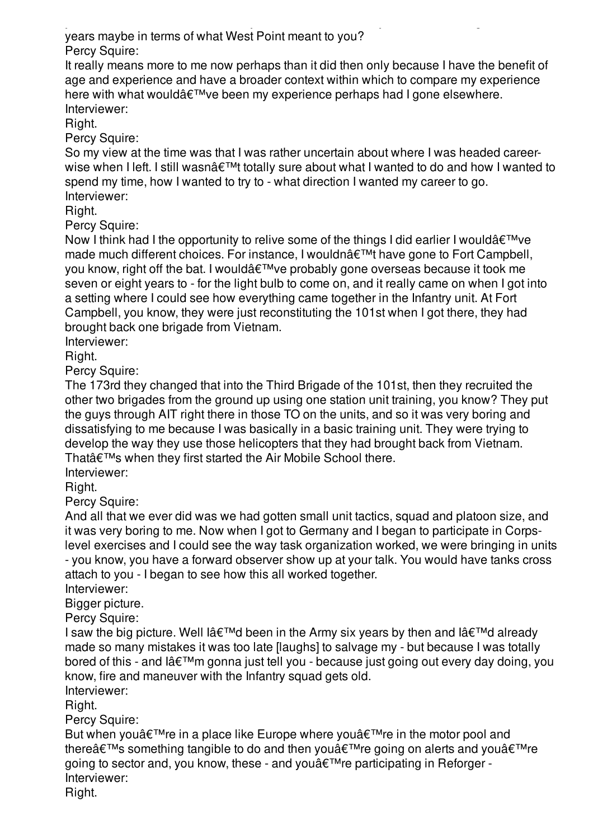years here at West Point meant to you at the time and has your answer changed over the years maybe in terms of what West Point meant to you? Percy Squire:

It really means more to me now perhaps than it did then only because I have the benefit of age and experience and have a broader context within which to compare my experience here with what would've been my experience perhaps had I gone elsewhere. Interviewer:

Right.

Percy Squire:

So my view at the time was that I was rather uncertain about where I was headed careerwise when I left. I still wasn't totally sure about what I wanted to do and how I wanted to spend my time, how I wanted to try to - what direction I wanted my career to go. Interviewer:

Right.

Percy Squire:

Now I think had I the opportunity to relive some of the things I did earlier I would  $\hat{\theta} \in TM$  ve made much different choices. For instance, I wouldnâ€<sup>™</sup>t have gone to Fort Campbell, you know, right off the bat. I would've probably gone overseas because it took me seven or eight years to - for the light bulb to come on, and it really came on when I got into a setting where I could see how everything came together in the Infantry unit. At Fort Campbell, you know, they were just reconstituting the 101st when I got there, they had brought back one brigade from Vietnam.

Interviewer:

Right.

Percy Squire:

The 173rd they changed that into the Third Brigade of the 101st, then they recruited the other two brigades from the ground up using one station unit training, you know? They put the guys through AIT right there in those TO on the units, and so it was very boring and dissatisfying to me because I was basically in a basic training unit. They were trying to develop the way they use those helicopters that they had brought back from Vietnam. That $\hat{a} \in \mathbb{M}$ s when they first started the Air Mobile School there.

Interviewer:

Right.

Percy Squire:

And all that we ever did was we had gotten small unit tactics, squad and platoon size, and it was very boring to me. Now when I got to Germany and I began to participate in Corpslevel exercises and I could see the way task organization worked, we were bringing in units - you know, you have a forward observer show up at your talk. You would have tanks cross attach to you - I began to see how this all worked together.

Interviewer:

Bigger picture.

Percy Squire:

I saw the big picture. Well lâ $\epsilon^{TM}$ d been in the Army six years by then and lâ $\epsilon^{TM}$ d already made so many mistakes it was too late [laughs] to salvage my - but because I was totally bored of this - and l'm gonna just tell you - because just going out every day doing, you know, fire and maneuver with the Infantry squad gets old.

Interviewer:

Right.

Percy Squire:

But when you $\hat{a} \in T^M$ re in a place like Europe where you $\hat{a} \in T^M$ re in the motor pool and there $\hat{\mathbf{a}} \in \mathbb{M}$ s something tangible to do and then you $\hat{\mathbf{a}} \in \mathbb{M}$ re going on alerts and you $\hat{\mathbf{a}} \in \mathbb{M}$ re going to sector and, you know, these - and you're participating in Reforger -Interviewer:

Right.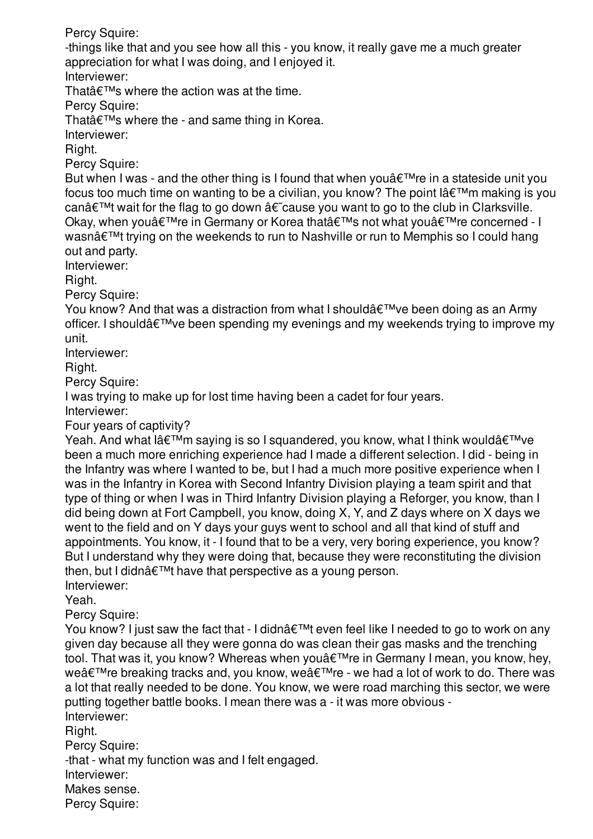Percy Squire:

-things like that and you see how all this - you know, it really gave me a much greater appreciation for what I was doing, and I enjoyed it.

Interviewer:

That $\hat{\mathbf{a}} \in \mathbb{M}$ s where the action was at the time.

Percy Squire:

That $\hat{a} \in \mathbb{M}$ s where the - and same thing in Korea.

Interviewer:

Right.

Percy Squire:

But when I was - and the other thing is I found that when you $\hat{\mathbf{a}} \in \mathbb{R}^{T}$  in a stateside unit you focus too much time on wanting to be a civilian, you know? The point  $\hat{a} \in \mathbb{M}$ m making is you can $\hat{\mathbf{a}} \in \mathbb{M}$  wait for the flag to go down  $\hat{\mathbf{a}} \in \mathbb{C}$  cause you want to go to the club in Clarksville. Okay, when you're in Germany or Korea that's not what you're concerned - I wasnâ€<sup>™†</sup>trying on the weekends to run to Nashville or run to Memphis so I could hang out and party.

Interviewer:

Right.

Percy Squire:

You know? And that was a distraction from what I should  $\hat{\theta} \in \mathbb{R}^{N}$  ve been doing as an Army officer. I should $\hat{a} \in T^{M}$ ve been spending my evenings and my weekends trying to improve my unit.

Interviewer:

Right.

Percy Squire:

I was trying to make up for lost time having been a cadet for four years.

Interviewer:

Four years of captivity?

Yeah. And what  $I\hat{a} \in T^M$ m saying is so I squandered, you know, what I think would $\hat{a} \in T^M$ ve been a much more enriching experience had I made a different selection. I did - being in the Infantry was where I wanted to be, but I had a much more positive experience when I was in the Infantry in Korea with Second Infantry Division playing a team spirit and that type of thing or when I was in Third Infantry Division playing a Reforger, you know, than I did being down at Fort Campbell, you know, doing X, Y, and Z days where on X days we went to the field and on Y days your guys went to school and all that kind of stuff and appointments. You know, it - I found that to be a very, very boring experience, you know? But I understand why they were doing that, because they were reconstituting the division then, but I didnâ $\epsilon^{TM}$  have that perspective as a young person.

Interviewer:

Yeah.

Percy Squire:

You know? I just saw the fact that - I didn $\hat{\mathbf{a}} \in \mathbb{M}$  even feel like I needed to go to work on any given day because all they were gonna do was clean their gas masks and the trenching tool. That was it, you know? Whereas when you're in Germany I mean, you know, hey, we're breaking tracks and, you know, we're - we had a lot of work to do. There was a lot that really needed to be done. You know, we were road marching this sector, we were putting together battle books. I mean there was a - it was more obvious - Interviewer:

Right.

Percy Squire:

-that - what my function was and I felt engaged.

Interviewer:

Makes sense.

Percy Squire: